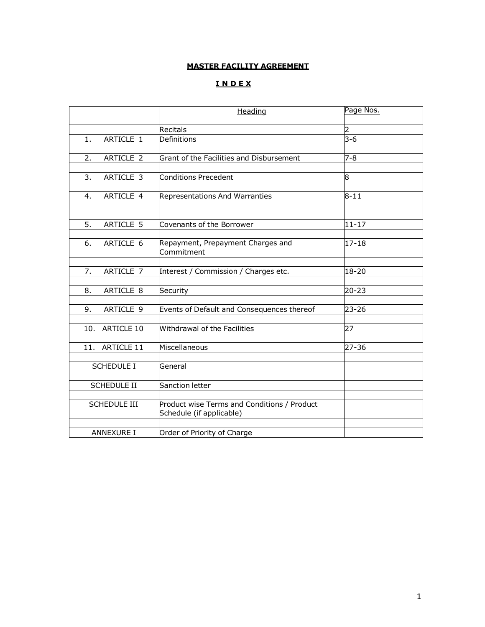# **MASTER FACILITY AGREEMENT**

# **I N D E X**

|                          | Heading                                                                 | Page Nos. |
|--------------------------|-------------------------------------------------------------------------|-----------|
|                          | <b>Recitals</b>                                                         | 2         |
| ARTICLE 1<br>1.          | Definitions                                                             | $3 - 6$   |
|                          |                                                                         |           |
| ARTICLE 2<br>2.          | Grant of the Facilities and Disbursement                                | $7 - 8$   |
|                          |                                                                         |           |
| ARTICLE 3<br>3.          | <b>Conditions Precedent</b>                                             | 8         |
| ARTICLE 4<br>4.          | Representations And Warranties                                          | $8 - 11$  |
|                          |                                                                         |           |
| 5.<br>ARTICLE 5          | Covenants of the Borrower                                               | $11 - 17$ |
| ARTICLE 6<br>6.          | Repayment, Prepayment Charges and<br>Commitment                         | $17 - 18$ |
|                          |                                                                         |           |
| 7.<br>ARTICLE 7          | Interest / Commission / Charges etc.                                    | 18-20     |
| ARTICLE 8<br>8.          | Security                                                                | $20 - 23$ |
|                          |                                                                         |           |
| ARTICLE 9<br>9.          | Events of Default and Consequences thereof                              | 23-26     |
|                          |                                                                         |           |
| <b>ARTICLE 10</b><br>10. | Withdrawal of the Facilities                                            | 27        |
| ARTICLE 11<br>11.        | Miscellaneous                                                           | 27-36     |
|                          |                                                                         |           |
| <b>SCHEDULE I</b>        | General                                                                 |           |
|                          |                                                                         |           |
| <b>SCHEDULE II</b>       | Sanction letter                                                         |           |
| <b>SCHEDULE III</b>      | Product wise Terms and Conditions / Product<br>Schedule (if applicable) |           |
|                          |                                                                         |           |
| <b>ANNEXURE I</b>        | Order of Priority of Charge                                             |           |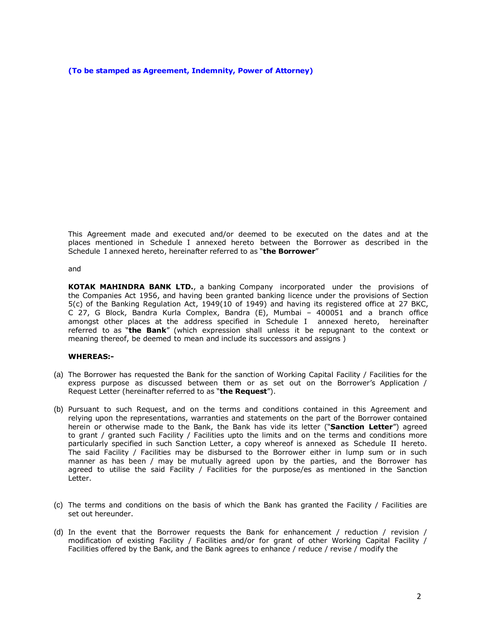**(To be stamped as Agreement, Indemnity, Power of Attorney)**

This Agreement made and executed and/or deemed to be executed on the dates and at the places mentioned in Schedule I annexed hereto between the Borrower as described in the Schedule I annexed hereto, hereinafter referred to as "**the Borrower**"

and

**KOTAK MAHINDRA BANK LTD.**, a banking Company incorporated under the provisions of the Companies Act 1956, and having been granted banking licence under the provisions of Section 5(c) of the Banking Regulation Act, 1949(10 of 1949) and having its registered office at 27 BKC, C 27, G Block, Bandra Kurla Complex, Bandra (E), Mumbai – 400051 and a branch office amongst other places at the address specified in Schedule I annexed hereto, hereinafter referred to as "**the Bank**" (which expression shall unless it be repugnant to the context or meaning thereof, be deemed to mean and include its successors and assigns )

### **WHEREAS:-**

- (a) The Borrower has requested the Bank for the sanction of Working Capital Facility / Facilities for the express purpose as discussed between them or as set out on the Borrower's Application / Request Letter (hereinafter referred to as "**the Request**").
- (b) Pursuant to such Request, and on the terms and conditions contained in this Agreement and relying upon the representations, warranties and statements on the part of the Borrower contained herein or otherwise made to the Bank, the Bank has vide its letter ("**Sanction Letter**") agreed to grant / granted such Facility / Facilities upto the limits and on the terms and conditions more particularly specified in such Sanction Letter, a copy whereof is annexed as Schedule II hereto. The said Facility / Facilities may be disbursed to the Borrower either in lump sum or in such manner as has been / may be mutually agreed upon by the parties, and the Borrower has agreed to utilise the said Facility / Facilities for the purpose/es as mentioned in the Sanction Letter.
- (c) The terms and conditions on the basis of which the Bank has granted the Facility / Facilities are set out hereunder.
- (d) In the event that the Borrower requests the Bank for enhancement / reduction / revision / modification of existing Facility / Facilities and/or for grant of other Working Capital Facility / Facilities offered by the Bank, and the Bank agrees to enhance / reduce / revise / modify the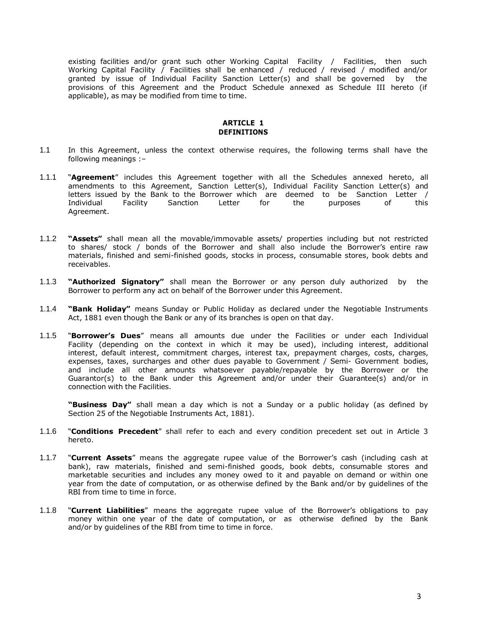existing facilities and/or grant such other Working Capital Facility / Facilities, then such Working Capital Facility / Facilities shall be enhanced / reduced / revised / modified and/or granted by issue of Individual Facility Sanction Letter(s) and shall be governed by the provisions of this Agreement and the Product Schedule annexed as Schedule III hereto (if applicable), as may be modified from time to time.

## **ARTICLE 1 DEFINITIONS**

- 1.1 In this Agreement, unless the context otherwise requires, the following terms shall have the following meanings :–
- 1.1.1 "**Agreement**" includes this Agreement together with all the Schedules annexed hereto, all amendments to this Agreement, Sanction Letter(s), Individual Facility Sanction Letter(s) and letters issued by the Bank to the Borrower which are deemed to be Sanction Letter / Individual Facility Sanction Letter for the purposes of this Agreement.
- 1.1.2 **"Assets"** shall mean all the movable/immovable assets/ properties including but not restricted to shares/ stock / bonds of the Borrower and shall also include the Borrower's entire raw materials, finished and semi-finished goods, stocks in process, consumable stores, book debts and receivables.
- 1.1.3 **"Authorized Signatory"** shall mean the Borrower or any person duly authorized by the Borrower to perform any act on behalf of the Borrower under this Agreement.
- 1.1.4 **"Bank Holiday"** means Sunday or Public Holiday as declared under the Negotiable Instruments Act, 1881 even though the Bank or any of its branches is open on that day.
- 1.1.5 "**Borrower's Dues**" means all amounts due under the Facilities or under each Individual Facility (depending on the context in which it may be used), including interest, additional interest, default interest, commitment charges, interest tax, prepayment charges, costs, charges, expenses, taxes, surcharges and other dues payable to Government / Semi- Government bodies, and include all other amounts whatsoever payable/repayable by the Borrower or the Guarantor(s) to the Bank under this Agreement and/or under their Guarantee(s) and/or in connection with the Facilities.

**"Business Day"** shall mean a day which is not a Sunday or a public holiday (as defined by Section 25 of the Negotiable Instruments Act, 1881).

- 1.1.6 "**Conditions Precedent**" shall refer to each and every condition precedent set out in Article 3 hereto.
- 1.1.7 "**Current Assets**" means the aggregate rupee value of the Borrower's cash (including cash at bank), raw materials, finished and semi-finished goods, book debts, consumable stores and marketable securities and includes any money owed to it and payable on demand or within one year from the date of computation, or as otherwise defined by the Bank and/or by guidelines of the RBI from time to time in force.
- 1.1.8 "**Current Liabilities**" means the aggregate rupee value of the Borrower's obligations to pay money within one year of the date of computation, or as otherwise defined by the Bank and/or by guidelines of the RBI from time to time in force.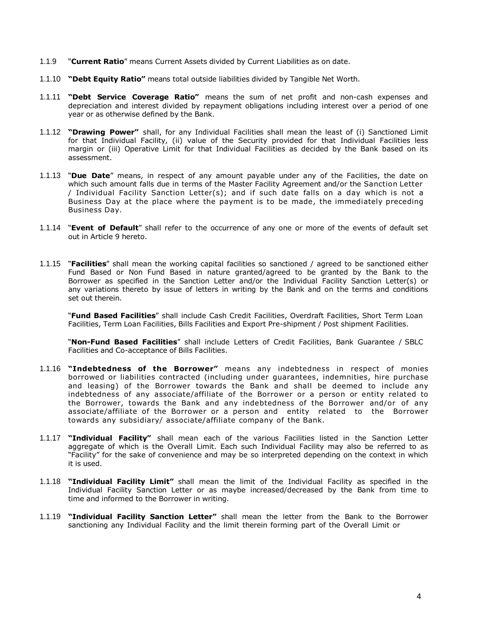- 1.1.9 "**Current Ratio**" means Current Assets divided by Current Liabilities as on date.
- 1.1.10 **"Debt Equity Ratio"** means total outside liabilities divided by Tangible Net Worth.
- 1.1.11 **"Debt Service Coverage Ratio"** means the sum of net profit and non-cash expenses and depreciation and interest divided by repayment obligations including interest over a period of one year or as otherwise defined by the Bank.
- 1.1.12 **"Drawing Power"** shall, for any Individual Facilities shall mean the least of (i) Sanctioned Limit for that Individual Facility, (ii) value of the Security provided for that Individual Facilities less margin or (iii) Operative Limit for that Individual Facilities as decided by the Bank based on its assessment.
- 1.1.13 "**Due Date**" means, in respect of any amount payable under any of the Facilities, the date on which such amount falls due in terms of the Master Facility Agreement and/or the Sanction Letter / Individual Facility Sanction Letter(s); and if such date falls on a day which is not a Business Day at the place where the payment is to be made, the immediately preceding Business Day.
- 1.1.14 "**Event of Default**" shall refer to the occurrence of any one or more of the events of default set out in Article 9 hereto.
- 1.1.15 "**Facilities**" shall mean the working capital facilities so sanctioned / agreed to be sanctioned either Fund Based or Non Fund Based in nature granted/agreed to be granted by the Bank to the Borrower as specified in the Sanction Letter and/or the Individual Facility Sanction Letter(s) or any variations thereto by issue of letters in writing by the Bank and on the terms and conditions set out therein.

"**Fund Based Facilities**" shall include Cash Credit Facilities, Overdraft Facilities, Short Term Loan Facilities, Term Loan Facilities, Bills Facilities and Export Pre-shipment / Post shipment Facilities.

"**Non-Fund Based Facilities**" shall include Letters of Credit Facilities, Bank Guarantee / SBLC Facilities and Co-acceptance of Bills Facilities.

- 1.1.16 **"Indebtedness of the Borrower"** means any indebtedness in respect of monies borrowed or liabilities contracted (including under guarantees, indemnities, hire purchase and leasing) of the Borrower towards the Bank and shall be deemed to include any indebtedness of any associate/affiliate of the Borrower or a person or entity related to the Borrower, towards the Bank and any indebtedness of the Borrower and/or of any associate/affiliate of the Borrower or a person and entity related to the Borrower towards any subsidiary/ associate/affiliate company of the Bank.
- 1.1.17 **"Individual Facility"** shall mean each of the various Facilities listed in the Sanction Letter aggregate of which is the Overall Limit. Each such Individual Facility may also be referred to as "Facility" for the sake of convenience and may be so interpreted depending on the context in which it is used.
- 1.1.18 **"Individual Facility Limit"** shall mean the limit of the Individual Facility as specified in the Individual Facility Sanction Letter or as maybe increased/decreased by the Bank from time to time and informed to the Borrower in writing.
- 1.1.19 **"Individual Facility Sanction Letter"** shall mean the letter from the Bank to the Borrower sanctioning any Individual Facility and the limit therein forming part of the Overall Limit or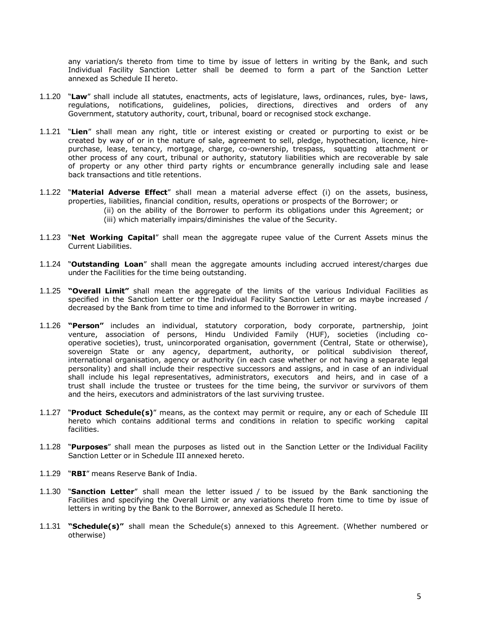any variation/s thereto from time to time by issue of letters in writing by the Bank, and such Individual Facility Sanction Letter shall be deemed to form a part of the Sanction Letter annexed as Schedule II hereto.

- 1.1.20 "**Law**" shall include all statutes, enactments, acts of legislature, laws, ordinances, rules, bye- laws, regulations, notifications, guidelines, policies, directions, directives and orders of any Government, statutory authority, court, tribunal, board or recognised stock exchange.
- 1.1.21 "**Lien**" shall mean any right, title or interest existing or created or purporting to exist or be created by way of or in the nature of sale, agreement to sell, pledge, hypothecation, licence, hirepurchase, lease, tenancy, mortgage, charge, co-ownership, trespass, squatting attachment or other process of any court, tribunal or authority, statutory liabilities which are recoverable by sale of property or any other third party rights or encumbrance generally including sale and lease back transactions and title retentions.
- 1.1.22 "**Material Adverse Effect**" shall mean a material adverse effect (i) on the assets, business, properties, liabilities, financial condition, results, operations or prospects of the Borrower; or (ii) on the ability of the Borrower to perform its obligations under this Agreement; or (iii) which materially impairs/diminishes the value of the Security.
- 1.1.23 "**Net Working Capital**" shall mean the aggregate rupee value of the Current Assets minus the Current Liabilities.
- 1.1.24 "**Outstanding Loan**" shall mean the aggregate amounts including accrued interest/charges due under the Facilities for the time being outstanding.
- 1.1.25 **"Overall Limit"** shall mean the aggregate of the limits of the various Individual Facilities as specified in the Sanction Letter or the Individual Facility Sanction Letter or as maybe increased / decreased by the Bank from time to time and informed to the Borrower in writing.
- 1.1.26 **"Person"** includes an individual, statutory corporation, body corporate, partnership, joint venture, association of persons, Hindu Undivided Family (HUF), societies (including cooperative societies), trust, unincorporated organisation, government (Central, State or otherwise), sovereign State or any agency, department, authority, or political subdivision thereof, international organisation, agency or authority (in each case whether or not having a separate legal personality) and shall include their respective successors and assigns, and in case of an individual shall include his legal representatives, administrators, executors and heirs, and in case of a trust shall include the trustee or trustees for the time being, the survivor or survivors of them and the heirs, executors and administrators of the last surviving trustee.
- 1.1.27 "**Product Schedule(s)**" means, as the context may permit or require, any or each of Schedule III hereto which contains additional terms and conditions in relation to specific working capital facilities.
- 1.1.28 "**Purposes**" shall mean the purposes as listed out in the Sanction Letter or the Individual Facility Sanction Letter or in Schedule III annexed hereto.
- 1.1.29 "**RBI**" means Reserve Bank of India.
- 1.1.30 "**Sanction Letter**" shall mean the letter issued / to be issued by the Bank sanctioning the Facilities and specifying the Overall Limit or any variations thereto from time to time by issue of letters in writing by the Bank to the Borrower, annexed as Schedule II hereto.
- 1.1.31 **"Schedule(s)"** shall mean the Schedule(s) annexed to this Agreement. (Whether numbered or otherwise)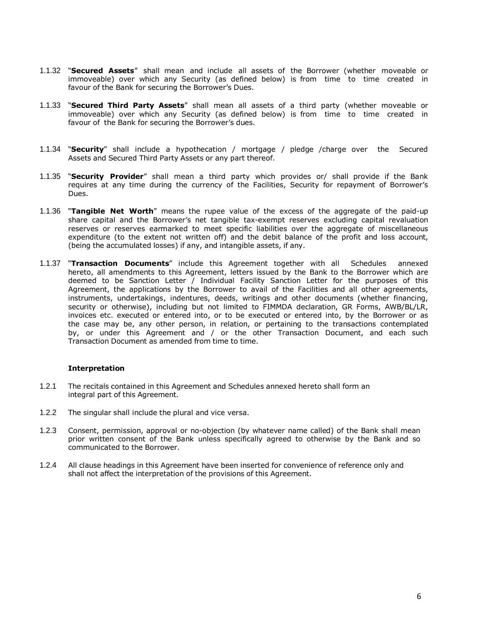- 1.1.32 "**Secured Assets**" shall mean and include all assets of the Borrower (whether moveable or immoveable) over which any Security (as defined below) is from time to time created in favour of the Bank for securing the Borrower's Dues.
- 1.1.33 "**Secured Third Party Assets**" shall mean all assets of a third party (whether moveable or immoveable) over which any Security (as defined below) is from time to time created in favour of the Bank for securing the Borrower's dues.
- 1.1.34 "**Security**" shall include a hypothecation / mortgage / pledge /charge over the Secured Assets and Secured Third Party Assets or any part thereof.
- 1.1.35 "**Security Provider**" shall mean a third party which provides or/ shall provide if the Bank requires at any time during the currency of the Facilities, Security for repayment of Borrower's Dues.
- 1.1.36 "**Tangible Net Worth**" means the rupee value of the excess of the aggregate of the paid-up share capital and the Borrower's net tangible tax-exempt reserves excluding capital revaluation reserves or reserves earmarked to meet specific liabilities over the aggregate of miscellaneous expenditure (to the extent not written off) and the debit balance of the profit and loss account, (being the accumulated losses) if any, and intangible assets, if any.
- 1.1.37 "**Transaction Documents**" include this Agreement together with all Schedules annexed hereto, all amendments to this Agreement, letters issued by the Bank to the Borrower which are deemed to be Sanction Letter / Individual Facility Sanction Letter for the purposes of this Agreement, the applications by the Borrower to avail of the Facilities and all other agreements, instruments, undertakings, indentures, deeds, writings and other documents (whether financing, security or otherwise), including but not limited to FIMMDA declaration, GR Forms, AWB/BL/LR, invoices etc. executed or entered into, or to be executed or entered into, by the Borrower or as the case may be, any other person, in relation, or pertaining to the transactions contemplated by, or under this Agreement and / or the other Transaction Document, and each such Transaction Document as amended from time to time.

### **Interpretation**

- 1.2.1 The recitals contained in this Agreement and Schedules annexed hereto shall form an integral part of this Agreement.
- 1.2.2 The singular shall include the plural and vice versa.
- 1.2.3 Consent, permission, approval or no-objection (by whatever name called) of the Bank shall mean prior written consent of the Bank unless specifically agreed to otherwise by the Bank and so communicated to the Borrower.
- 1.2.4 All clause headings in this Agreement have been inserted for convenience of reference only and shall not affect the interpretation of the provisions of this Agreement.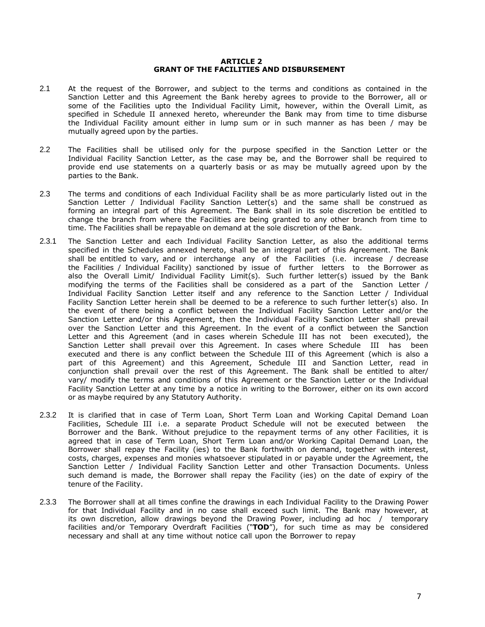#### **ARTICLE 2 GRANT OF THE FACILITIES AND DISBURSEMENT**

- 2.1 At the request of the Borrower, and subject to the terms and conditions as contained in the Sanction Letter and this Agreement the Bank hereby agrees to provide to the Borrower, all or some of the Facilities upto the Individual Facility Limit, however, within the Overall Limit, as specified in Schedule II annexed hereto, whereunder the Bank may from time to time disburse the Individual Facility amount either in lump sum or in such manner as has been / may be mutually agreed upon by the parties.
- 2.2 The Facilities shall be utilised only for the purpose specified in the Sanction Letter or the Individual Facility Sanction Letter, as the case may be, and the Borrower shall be required to provide end use statements on a quarterly basis or as may be mutually agreed upon by the parties to the Bank.
- 2.3 The terms and conditions of each Individual Facility shall be as more particularly listed out in the Sanction Letter / Individual Facility Sanction Letter(s) and the same shall be construed as forming an integral part of this Agreement. The Bank shall in its sole discretion be entitled to change the branch from where the Facilities are being granted to any other branch from time to time. The Facilities shall be repayable on demand at the sole discretion of the Bank.
- 2.3.1 The Sanction Letter and each Individual Facility Sanction Letter, as also the additional terms specified in the Schedules annexed hereto, shall be an integral part of this Agreement. The Bank shall be entitled to vary, and or interchange any of the Facilities (i.e. increase / decrease the Facilities / Individual Facility) sanctioned by issue of further letters to the Borrower as also the Overall Limit/ Individual Facility Limit(s). Such further letter(s) issued by the Bank modifying the terms of the Facilities shall be considered as a part of the Sanction Letter / Individual Facility Sanction Letter itself and any reference to the Sanction Letter / Individual Facility Sanction Letter herein shall be deemed to be a reference to such further letter(s) also. In the event of there being a conflict between the Individual Facility Sanction Letter and/or the Sanction Letter and/or this Agreement, then the Individual Facility Sanction Letter shall prevail over the Sanction Letter and this Agreement. In the event of a conflict between the Sanction Letter and this Agreement (and in cases wherein Schedule III has not been executed), the Sanction Letter shall prevail over this Agreement. In cases where Schedule III has been executed and there is any conflict between the Schedule III of this Agreement (which is also a part of this Agreement) and this Agreement, Schedule III and Sanction Letter, read in conjunction shall prevail over the rest of this Agreement. The Bank shall be entitled to alter/ vary/ modify the terms and conditions of this Agreement or the Sanction Letter or the Individual Facility Sanction Letter at any time by a notice in writing to the Borrower, either on its own accord or as maybe required by any Statutory Authority.
- 2.3.2 It is clarified that in case of Term Loan, Short Term Loan and Working Capital Demand Loan Facilities, Schedule III i.e. a separate Product Schedule will not be executed between the Borrower and the Bank. Without prejudice to the repayment terms of any other Facilities, it is agreed that in case of Term Loan, Short Term Loan and/or Working Capital Demand Loan, the Borrower shall repay the Facility (ies) to the Bank forthwith on demand, together with interest, costs, charges, expenses and monies whatsoever stipulated in or payable under the Agreement, the Sanction Letter / Individual Facility Sanction Letter and other Transaction Documents. Unless such demand is made, the Borrower shall repay the Facility (ies) on the date of expiry of the tenure of the Facility.
- 2.3.3 The Borrower shall at all times confine the drawings in each Individual Facility to the Drawing Power for that Individual Facility and in no case shall exceed such limit. The Bank may however, at its own discretion, allow drawings beyond the Drawing Power, including ad hoc / temporary facilities and/or Temporary Overdraft Facilities ("**TOD**"), for such time as may be considered necessary and shall at any time without notice call upon the Borrower to repay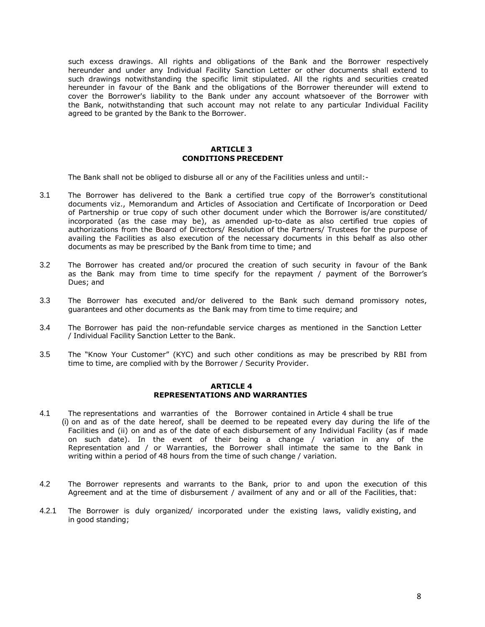such excess drawings. All rights and obligations of the Bank and the Borrower respectively hereunder and under any Individual Facility Sanction Letter or other documents shall extend to such drawings notwithstanding the specific limit stipulated. All the rights and securities created hereunder in favour of the Bank and the obligations of the Borrower thereunder will extend to cover the Borrower's liability to the Bank under any account whatsoever of the Borrower with the Bank, notwithstanding that such account may not relate to any particular Individual Facility agreed to be granted by the Bank to the Borrower.

## **ARTICLE 3 CONDITIONS PRECEDENT**

The Bank shall not be obliged to disburse all or any of the Facilities unless and until:-

- 3.1 The Borrower has delivered to the Bank a certified true copy of the Borrower's constitutional documents viz., Memorandum and Articles of Association and Certificate of Incorporation or Deed of Partnership or true copy of such other document under which the Borrower is/are constituted/ incorporated (as the case may be), as amended up-to-date as also certified true copies of authorizations from the Board of Directors/ Resolution of the Partners/ Trustees for the purpose of availing the Facilities as also execution of the necessary documents in this behalf as also other documents as may be prescribed by the Bank from time to time; and
- 3.2 The Borrower has created and/or procured the creation of such security in favour of the Bank as the Bank may from time to time specify for the repayment / payment of the Borrower's Dues; and
- 3.3 The Borrower has executed and/or delivered to the Bank such demand promissory notes, guarantees and other documents as the Bank may from time to time require; and
- 3.4 The Borrower has paid the non-refundable service charges as mentioned in the Sanction Letter / Individual Facility Sanction Letter to the Bank.
- 3.5 The "Know Your Customer" (KYC) and such other conditions as may be prescribed by RBI from time to time, are complied with by the Borrower / Security Provider.

#### **ARTICLE 4 REPRESENTATIONS AND WARRANTIES**

- 4.1 The representations and warranties of the Borrower contained in Article 4 shall be true (i) on and as of the date hereof, shall be deemed to be repeated every day during the life of the Facilities and (ii) on and as of the date of each disbursement of any Individual Facility (as if made on such date). In the event of their being a change / variation in any of the Representation and / or Warranties, the Borrower shall intimate the same to the Bank in writing within a period of 48 hours from the time of such change / variation.
- 4.2 The Borrower represents and warrants to the Bank, prior to and upon the execution of this Agreement and at the time of disbursement / availment of any and or all of the Facilities, that:
- 4.2.1 The Borrower is duly organized/ incorporated under the existing laws, validly existing, and in good standing;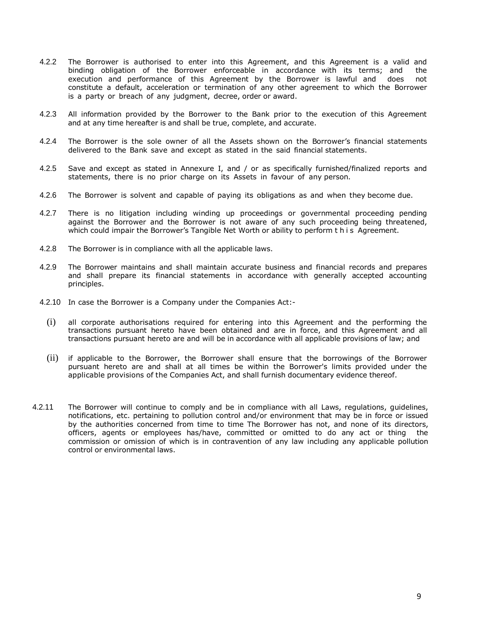- 4.2.2 The Borrower is authorised to enter into this Agreement, and this Agreement is a valid and binding obligation of the Borrower enforceable in accordance with its terms; and the execution and performance of this Agreement by the Borrower is lawful and does not constitute a default, acceleration or termination of any other agreement to which the Borrower is a party or breach of any judgment, decree, order or award.
- 4.2.3 All information provided by the Borrower to the Bank prior to the execution of this Agreement and at any time hereafter is and shall be true, complete, and accurate.
- 4.2.4 The Borrower is the sole owner of all the Assets shown on the Borrower's financial statements delivered to the Bank save and except as stated in the said financial statements.
- 4.2.5 Save and except as stated in Annexure I, and / or as specifically furnished/finalized reports and statements, there is no prior charge on its Assets in favour of any person.
- 4.2.6 The Borrower is solvent and capable of paying its obligations as and when they become due.
- 4.2.7 There is no litigation including winding up proceedings or governmental proceeding pending against the Borrower and the Borrower is not aware of any such proceeding being threatened, which could impair the Borrower's Tangible Net Worth or ability to perform t h i s Agreement.
- 4.2.8 The Borrower is in compliance with all the applicable laws.
- 4.2.9 The Borrower maintains and shall maintain accurate business and financial records and prepares and shall prepare its financial statements in accordance with generally accepted accounting principles.
- 4.2.10 In case the Borrower is a Company under the Companies Act:-
	- (i) all corporate authorisations required for entering into this Agreement and the performing the transactions pursuant hereto have been obtained and are in force, and this Agreement and all transactions pursuant hereto are and will be in accordance with all applicable provisions of law; and
	- (ii) if applicable to the Borrower, the Borrower shall ensure that the borrowings of the Borrower pursuant hereto are and shall at all times be within the Borrower's limits provided under the applicable provisions of the Companies Act, and shall furnish documentary evidence thereof.
- 4.2.11 The Borrower will continue to comply and be in compliance with all Laws, regulations, guidelines, notifications, etc. pertaining to pollution control and/or environment that may be in force or issued by the authorities concerned from time to time The Borrower has not, and none of its directors, officers, agents or employees has/have, committed or omitted to do any act or thing the commission or omission of which is in contravention of any law including any applicable pollution control or environmental laws.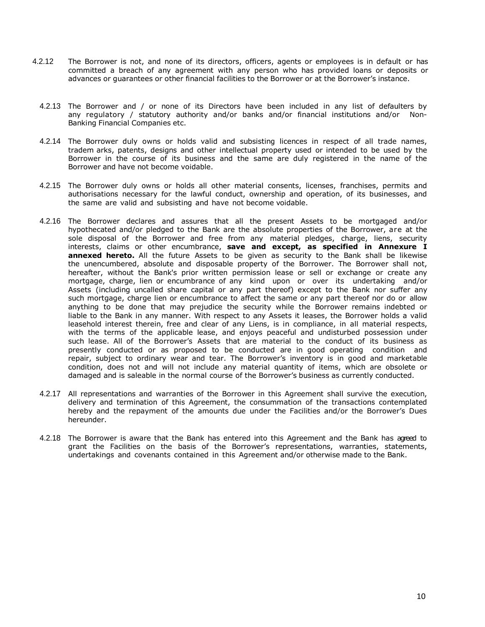- 4.2.12 The Borrower is not, and none of its directors, officers, agents or employees is in default or has committed a breach of any agreement with any person who has provided loans or deposits or advances or guarantees or other financial facilities to the Borrower or at the Borrower's instance.
	- 4.2.13 The Borrower and / or none of its Directors have been included in any list of defaulters by any regulatory / statutory authority and/or banks and/or financial institutions and/or Non-Banking Financial Companies etc.
	- 4.2.14 The Borrower duly owns or holds valid and subsisting licences in respect of all trade names, tradem arks, patents, designs and other intellectual property used or intended to be used by the Borrower in the course of its business and the same are duly registered in the name of the Borrower and have not become voidable.
	- 4.2.15 The Borrower duly owns or holds all other material consents, licenses, franchises, permits and authorisations necessary for the lawful conduct, ownership and operation, of its businesses, and the same are valid and subsisting and have not become voidable.
	- 4.2.16 The Borrower declares and assures that all the present Assets to be mortgaged and/or hypothecated and/or pledged to the Bank are the absolute properties of the Borrower, are at the sole disposal of the Borrower and free from any material pledges, charge, liens, security interests, claims or other encumbrance, **save and except, as specified in Annexure I annexed hereto.** All the future Assets to be given as security to the Bank shall be likewise the unencumbered, absolute and disposable property of the Borrower. The Borrower shall not, hereafter, without the Bank's prior written permission lease or sell or exchange or create any mortgage, charge, lien or encumbrance of any kind upon or over its undertaking and/or Assets (including uncalled share capital or any part thereof) except to the Bank nor suffer any such mortgage, charge lien or encumbrance to affect the same or any part thereof nor do or allow anything to be done that may prejudice the security while the Borrower remains indebted or liable to the Bank in any manner. With respect to any Assets it leases, the Borrower holds a valid leasehold interest therein, free and clear of any Liens, is in compliance, in all material respects, with the terms of the applicable lease, and enjoys peaceful and undisturbed possession under such lease. All of the Borrower's Assets that are material to the conduct of its business as presently conducted or as proposed to be conducted are in good operating condition and repair, subject to ordinary wear and tear. The Borrower's inventory is in good and marketable condition, does not and will not include any material quantity of items, which are obsolete or damaged and is saleable in the normal course of the Borrower's business as currently conducted.
	- 4.2.17 All representations and warranties of the Borrower in this Agreement shall survive the execution, delivery and termination of this Agreement, the consummation of the transactions contemplated hereby and the repayment of the amounts due under the Facilities and/or the Borrower's Dues hereunder.
	- 4.2.18 The Borrower is aware that the Bank has entered into this Agreement and the Bank has agreed to grant the Facilities on the basis of the Borrower's representations, warranties, statements, undertakings and covenants contained in this Agreement and/or otherwise made to the Bank.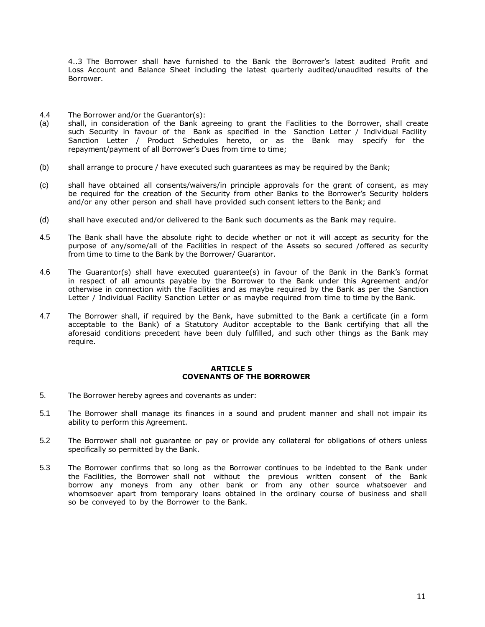4..3 The Borrower shall have furnished to the Bank the Borrower's latest audited Profit and Loss Account and Balance Sheet including the latest quarterly audited/unaudited results of the Borrower.

- 4.4 The Borrower and/or the Guarantor(s):
- (a) shall, in consideration of the Bank agreeing to grant the Facilities to the Borrower, shall create such Security in favour of the Bank as specified in the Sanction Letter / Individual Facility Sanction Letter / Product Schedules hereto, or as the Bank may specify for the repayment/payment of all Borrower's Dues from time to time;
- (b) shall arrange to procure / have executed such guarantees as may be required by the Bank;
- (c) shall have obtained all consents/waivers/in principle approvals for the grant of consent, as may be required for the creation of the Security from other Banks to the Borrower's Security holders and/or any other person and shall have provided such consent letters to the Bank; and
- (d) shall have executed and/or delivered to the Bank such documents as the Bank may require.
- 4.5 The Bank shall have the absolute right to decide whether or not it will accept as security for the purpose of any/some/all of the Facilities in respect of the Assets so secured /offered as security from time to time to the Bank by the Borrower/ Guarantor.
- 4.6 The Guarantor(s) shall have executed guarantee(s) in favour of the Bank in the Bank's format in respect of all amounts payable by the Borrower to the Bank under this Agreement and/or otherwise in connection with the Facilities and as maybe required by the Bank as per the Sanction Letter / Individual Facility Sanction Letter or as maybe required from time to time by the Bank.
- 4.7 The Borrower shall, if required by the Bank, have submitted to the Bank a certificate (in a form acceptable to the Bank) of a Statutory Auditor acceptable to the Bank certifying that all the aforesaid conditions precedent have been duly fulfilled, and such other things as the Bank may require.

## **ARTICLE 5 COVENANTS OF THE BORROWER**

- 5. The Borrower hereby agrees and covenants as under:
- 5.1 The Borrower shall manage its finances in a sound and prudent manner and shall not impair its ability to perform this Agreement.
- 5.2 The Borrower shall not guarantee or pay or provide any collateral for obligations of others unless specifically so permitted by the Bank.
- 5.3 The Borrower confirms that so long as the Borrower continues to be indebted to the Bank under the Facilities, the Borrower shall not without the previous written consent of the Bank borrow any moneys from any other bank or from any other source whatsoever and whomsoever apart from temporary loans obtained in the ordinary course of business and shall so be conveyed to by the Borrower to the Bank.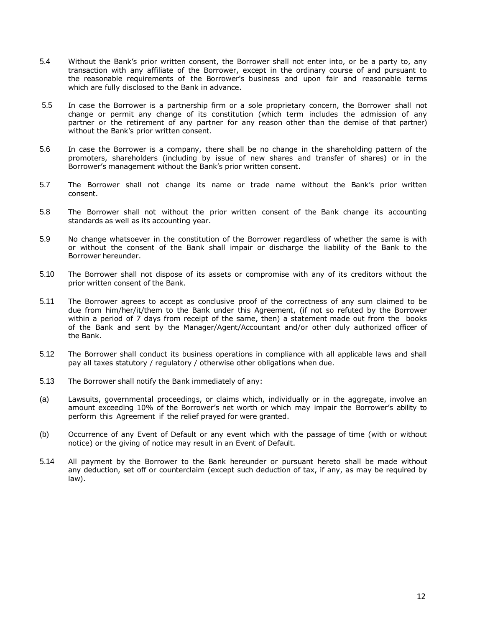- 5.4 Without the Bank's prior written consent, the Borrower shall not enter into, or be a party to, any transaction with any affiliate of the Borrower, except in the ordinary course of and pursuant to the reasonable requirements of the Borrower's business and upon fair and reasonable terms which are fully disclosed to the Bank in advance.
- 5.5 In case the Borrower is a partnership firm or a sole proprietary concern, the Borrower shall not change or permit any change of its constitution (which term includes the admission of any partner or the retirement of any partner for any reason other than the demise of that partner) without the Bank's prior written consent.
- 5.6 In case the Borrower is a company, there shall be no change in the shareholding pattern of the promoters, shareholders (including by issue of new shares and transfer of shares) or in the Borrower's management without the Bank's prior written consent.
- 5.7 The Borrower shall not change its name or trade name without the Bank's prior written consent.
- 5.8 The Borrower shall not without the prior written consent of the Bank change its accounting standards as well as its accounting year.
- 5.9 No change whatsoever in the constitution of the Borrower regardless of whether the same is with or without the consent of the Bank shall impair or discharge the liability of the Bank to the Borrower hereunder.
- 5.10 The Borrower shall not dispose of its assets or compromise with any of its creditors without the prior written consent of the Bank.
- 5.11 The Borrower agrees to accept as conclusive proof of the correctness of any sum claimed to be due from him/her/it/them to the Bank under this Agreement, (if not so refuted by the Borrower within a period of 7 days from receipt of the same, then) a statement made out from the books of the Bank and sent by the Manager/Agent/Accountant and/or other duly authorized officer of the Bank.
- 5.12 The Borrower shall conduct its business operations in compliance with all applicable laws and shall pay all taxes statutory / regulatory / otherwise other obligations when due.
- 5.13 The Borrower shall notify the Bank immediately of any:
- (a) Lawsuits, governmental proceedings, or claims which, individually or in the aggregate, involve an amount exceeding 10% of the Borrower's net worth or which may impair the Borrower's ability to perform this Agreement if the relief prayed for were granted.
- (b) Occurrence of any Event of Default or any event which with the passage of time (with or without notice) or the giving of notice may result in an Event of Default.
- 5.14 All payment by the Borrower to the Bank hereunder or pursuant hereto shall be made without any deduction, set off or counterclaim (except such deduction of tax, if any, as may be required by law).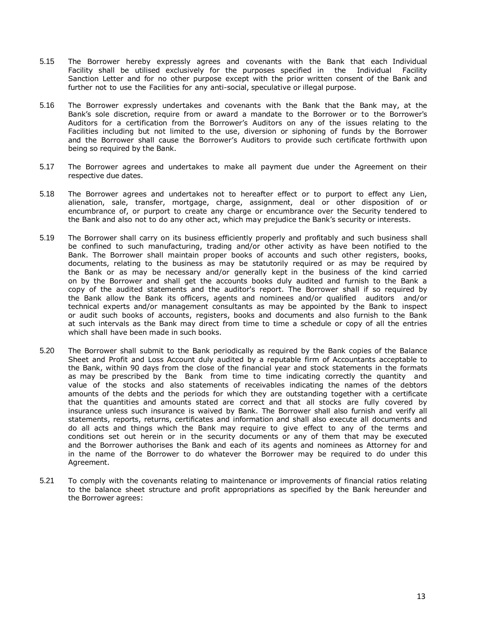- 5.15 The Borrower hereby expressly agrees and covenants with the Bank that each Individual Facility shall be utilised exclusively for the purposes specified in the Individual Facility Sanction Letter and for no other purpose except with the prior written consent of the Bank and further not to use the Facilities for any anti-social, speculative or illegal purpose.
- 5.16 The Borrower expressly undertakes and covenants with the Bank that the Bank may, at the Bank's sole discretion, require from or award a mandate to the Borrower or to the Borrower's Auditors for a certification from the Borrower's Auditors on any of the issues relating to the Facilities including but not limited to the use, diversion or siphoning of funds by the Borrower and the Borrower shall cause the Borrower's Auditors to provide such certificate forthwith upon being so required by the Bank.
- 5.17 The Borrower agrees and undertakes to make all payment due under the Agreement on their respective due dates.
- 5.18 The Borrower agrees and undertakes not to hereafter effect or to purport to effect any Lien, alienation, sale, transfer, mortgage, charge, assignment, deal or other disposition of or encumbrance of, or purport to create any charge or encumbrance over the Security tendered to the Bank and also not to do any other act, which may prejudice the Bank's security or interests.
- 5.19 The Borrower shall carry on its business efficiently properly and profitably and such business shall be confined to such manufacturing, trading and/or other activity as have been notified to the Bank. The Borrower shall maintain proper books of accounts and such other registers, books, documents, relating to the business as may be statutorily required or as may be required by the Bank or as may be necessary and/or generally kept in the business of the kind carried on by the Borrower and shall get the accounts books duly audited and furnish to the Bank a copy of the audited statements and the auditor's report. The Borrower shall if so required by the Bank allow the Bank its officers, agents and nominees and/or qualified auditors and/or technical experts and/or management consultants as may be appointed by the Bank to inspect or audit such books of accounts, registers, books and documents and also furnish to the Bank at such intervals as the Bank may direct from time to time a schedule or copy of all the entries which shall have been made in such books.
- 5.20 The Borrower shall submit to the Bank periodically as required by the Bank copies of the Balance Sheet and Profit and Loss Account duly audited by a reputable firm of Accountants acceptable to the Bank, within 90 days from the close of the financial year and stock statements in the formats as may be prescribed by the Bank from time to time indicating correctly the quantity and value of the stocks and also statements of receivables indicating the names of the debtors amounts of the debts and the periods for which they are outstanding together with a certificate that the quantities and amounts stated are correct and that all stocks are fully covered by insurance unless such insurance is waived by Bank. The Borrower shall also furnish and verify all statements, reports, returns, certificates and information and shall also execute all documents and do all acts and things which the Bank may require to give effect to any of the terms and conditions set out herein or in the security documents or any of them that may be executed and the Borrower authorises the Bank and each of its agents and nominees as Attorney for and in the name of the Borrower to do whatever the Borrower may be required to do under this Agreement.
- 5.21 To comply with the covenants relating to maintenance or improvements of financial ratios relating to the balance sheet structure and profit appropriations as specified by the Bank hereunder and the Borrower agrees: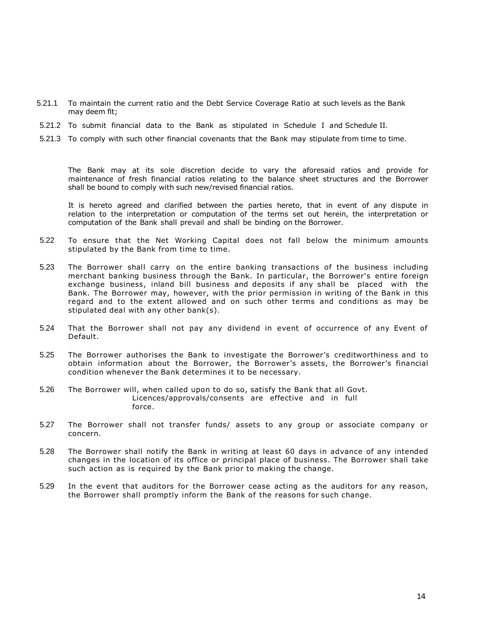- 5.21.1 To maintain the current ratio and the Debt Service Coverage Ratio at such levels as the Bank may deem fit;
- 5.21.2 To submit financial data to the Bank as stipulated in Schedule I and Schedule II.
- 5.21.3 To comply with such other financial covenants that the Bank may stipulate from time to time.

The Bank may at its sole discretion decide to vary the aforesaid ratios and provide for maintenance of fresh financial ratios relating to the balance sheet structures and the Borrower shall be bound to comply with such new/revised financial ratios.

It is hereto agreed and clarified between the parties hereto, that in event of any dispute in relation to the interpretation or computation of the terms set out herein, the interpretation or computation of the Bank shall prevail and shall be binding on the Borrower.

- 5.22 To ensure that the Net Working Capital does not fall below the minimum amounts stipulated by the Bank from time to time.
- 5.23 The Borrower shall carry on the entire banking transactions of the business including merchant banking business through the Bank. In particular, the Borrower's entire foreign exchange business, inland bill business and deposits if any shall be placed with the Bank. The Borrower may, however, with the prior permission in writing of the Bank in this regard and to the extent allowed and on such other terms and conditions as may be stipulated deal with any other bank(s).
- 5.24 That the Borrower shall not pay any dividend in event of occurrence of any Event of Default.
- 5.25 The Borrower authorises the Bank to investigate the Borrower's creditworthiness and to obtain information about the Borrower, the Borrower's assets, the Borrower's financial condition whenever the Bank determines it to be necessary.
- 5.26 The Borrower will, when called upon to do so, satisfy the Bank that all Govt. Licences/approvals/consents are effective and in full force.
- 5.27 The Borrower shall not transfer funds/ assets to any group or associate company or concern.
- 5.28 The Borrower shall notify the Bank in writing at least 60 days in advance of any intended changes in the location of its office or principal place of business. The Borrower shall take such action as is required by the Bank prior to making the change.
- 5.29 In the event that auditors for the Borrower cease acting as the auditors for any reason, the Borrower shall promptly inform the Bank of the reasons for such change.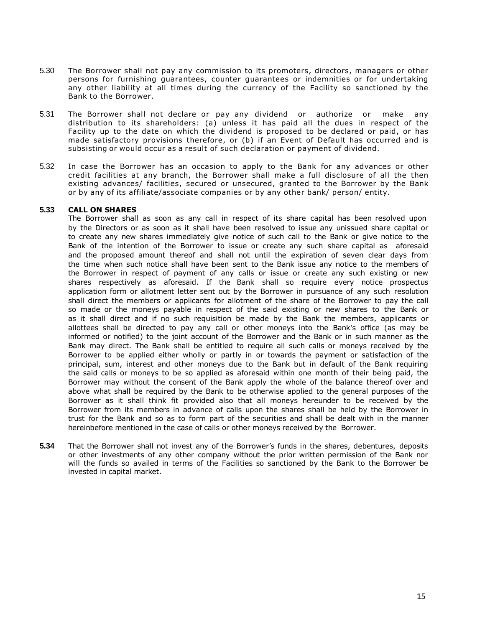- 5.30 The Borrower shall not pay any commission to its promoters, directors, managers or other persons for furnishing guarantees, counter guarantees or indemnities or for undertaking any other liability at all times during the currency of the Facility so sanctioned by the Bank to the Borrower.
- 5.31 The Borrower shall not declare or pay any dividend or authorize or make any distribution to its shareholders: (a) unless it has paid all the dues in respect of the Facility up to the date on which the dividend is proposed to be declared or paid, or has made satisfactory provisions therefore, or (b) if an Event of Default has occurred and is subsisting or would occur as a result of such declaration or payment of dividend.
- 5.32 In case the Borrower has an occasion to apply to the Bank for any advances or other credit facilities at any branch, the Borrower shall make a full disclosure of all the then existing advances/ facilities, secured or unsecured, granted to the Borrower by the Bank or by any of its affiliate/associate companies or by any other bank/ person/ entity.

## **5.33 CALL ON SHARES**

The Borrower shall as soon as any call in respect of its share capital has been resolved upon by the Directors or as soon as it shall have been resolved to issue any unissued share capital or to create any new shares immediately give notice of such call to the Bank or give notice to the Bank of the intention of the Borrower to issue or create any such share capital as aforesaid and the proposed amount thereof and shall not until the expiration of seven clear days from the time when such notice shall have been sent to the Bank issue any notice to the members of the Borrower in respect of payment of any calls or issue or create any such existing or new shares respectively as aforesaid. If the Bank shall so require every notice prospectus application form or allotment letter sent out by the Borrower in pursuance of any such resolution shall direct the members or applicants for allotment of the share of the Borrower to pay the call so made or the moneys payable in respect of the said existing or new shares to the Bank or as it shall direct and if no such requisition be made by the Bank the members, applicants or allottees shall be directed to pay any call or other moneys into the Bank's office (as may be informed or notified) to the joint account of the Borrower and the Bank or in such manner as the Bank may direct. The Bank shall be entitled to require all such calls or moneys received by the Borrower to be applied either wholly or partly in or towards the payment or satisfaction of the principal, sum, interest and other moneys due to the Bank but in default of the Bank requiring the said calls or moneys to be so applied as aforesaid within one month of their being paid, the Borrower may without the consent of the Bank apply the whole of the balance thereof over and above what shall be required by the Bank to be otherwise applied to the general purposes of the Borrower as it shall think fit provided also that all moneys hereunder to be received by the Borrower from its members in advance of calls upon the shares shall be held by the Borrower in trust for the Bank and so as to form part of the securities and shall be dealt with in the manner hereinbefore mentioned in the case of calls or other moneys received by the Borrower.

**5.34** That the Borrower shall not invest any of the Borrower's funds in the shares, debentures, deposits or other investments of any other company without the prior written permission of the Bank nor will the funds so availed in terms of the Facilities so sanctioned by the Bank to the Borrower be invested in capital market.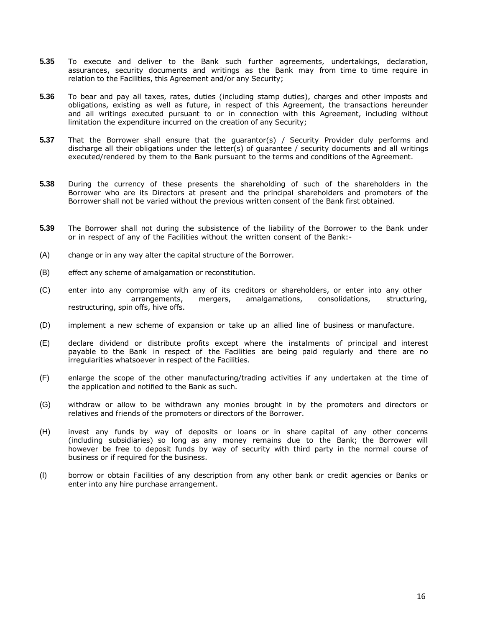- **5.35** To execute and deliver to the Bank such further agreements, undertakings, declaration, assurances, security documents and writings as the Bank may from time to time require in relation to the Facilities, this Agreement and/or any Security;
- **5.36** To bear and pay all taxes, rates, duties (including stamp duties), charges and other imposts and obligations, existing as well as future, in respect of this Agreement, the transactions hereunder and all writings executed pursuant to or in connection with this Agreement, including without limitation the expenditure incurred on the creation of any Security;
- **5.37** That the Borrower shall ensure that the guarantor(s) / Security Provider duly performs and discharge all their obligations under the letter(s) of guarantee / security documents and all writings executed/rendered by them to the Bank pursuant to the terms and conditions of the Agreement.
- **5.38** During the currency of these presents the shareholding of such of the shareholders in the Borrower who are its Directors at present and the principal shareholders and promoters of the Borrower shall not be varied without the previous written consent of the Bank first obtained.
- **5.39** The Borrower shall not during the subsistence of the liability of the Borrower to the Bank under or in respect of any of the Facilities without the written consent of the Bank:-
- (A) change or in any way alter the capital structure of the Borrower.
- (B) effect any scheme of amalgamation or reconstitution.
- (C) enter into any compromise with any of its creditors or shareholders, or enter into any other arrangements, mergers, amalgamations, consolidations, structuring, restructuring, spin offs, hive offs.
- (D) implement a new scheme of expansion or take up an allied line of business or manufacture.
- (E) declare dividend or distribute profits except where the instalments of principal and interest payable to the Bank in respect of the Facilities are being paid regularly and there are no irregularities whatsoever in respect of the Facilities.
- (F) enlarge the scope of the other manufacturing/trading activities if any undertaken at the time of the application and notified to the Bank as such.
- (G) withdraw or allow to be withdrawn any monies brought in by the promoters and directors or relatives and friends of the promoters or directors of the Borrower.
- (H) invest any funds by way of deposits or loans or in share capital of any other concerns (including subsidiaries) so long as any money remains due to the Bank; the Borrower will however be free to deposit funds by way of security with third party in the normal course of business or if required for the business.
- (I) borrow or obtain Facilities of any description from any other bank or credit agencies or Banks or enter into any hire purchase arrangement.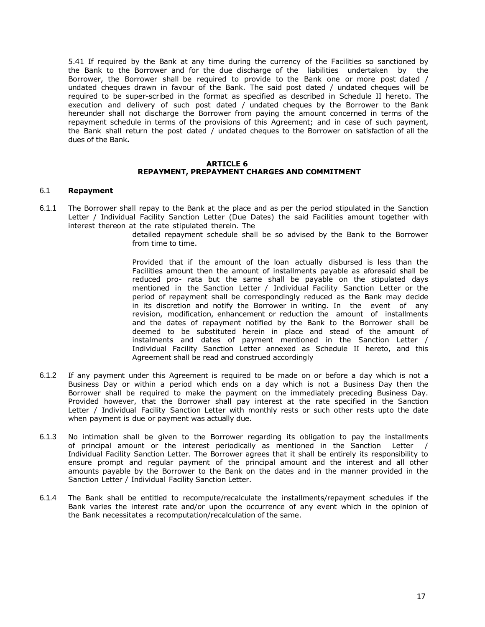5.41 If required by the Bank at any time during the currency of the Facilities so sanctioned by the Bank to the Borrower and for the due discharge of the liabilities undertaken by the Borrower, the Borrower shall be required to provide to the Bank one or more post dated / undated cheques drawn in favour of the Bank. The said post dated / undated cheques will be required to be super-scribed in the format as specified as described in Schedule II hereto. The execution and delivery of such post dated / undated cheques by the Borrower to the Bank hereunder shall not discharge the Borrower from paying the amount concerned in terms of the repayment schedule in terms of the provisions of this Agreement; and in case of such payment, the Bank shall return the post dated / undated cheques to the Borrower on satisfaction of all the dues of the Bank**.**

#### **ARTICLE 6 REPAYMENT, PREPAYMENT CHARGES AND COMMITMENT**

### 6.1 **Repayment**

6.1.1 The Borrower shall repay to the Bank at the place and as per the period stipulated in the Sanction Letter / Individual Facility Sanction Letter (Due Dates) the said Facilities amount together with interest thereon at the rate stipulated therein. The

detailed repayment schedule shall be so advised by the Bank to the Borrower from time to time.

Provided that if the amount of the loan actually disbursed is less than the Facilities amount then the amount of installments payable as aforesaid shall be reduced pro- rata but the same shall be payable on the stipulated days mentioned in the Sanction Letter / Individual Facility Sanction Letter or the period of repayment shall be correspondingly reduced as the Bank may decide in its discretion and notify the Borrower in writing. In the event of any revision, modification, enhancement or reduction the amount of installments and the dates of repayment notified by the Bank to the Borrower shall be deemed to be substituted herein in place and stead of the amount of instalments and dates of payment mentioned in the Sanction Letter / Individual Facility Sanction Letter annexed as Schedule II hereto, and this Agreement shall be read and construed accordingly

- 6.1.2 If any payment under this Agreement is required to be made on or before a day which is not a Business Day or within a period which ends on a day which is not a Business Day then the Borrower shall be required to make the payment on the immediately preceding Business Day. Provided however, that the Borrower shall pay interest at the rate specified in the Sanction Letter / Individual Facility Sanction Letter with monthly rests or such other rests upto the date when payment is due or payment was actually due.
- 6.1.3 No intimation shall be given to the Borrower regarding its obligation to pay the installments of principal amount or the interest periodically as mentioned in the Sanction Letter / Individual Facility Sanction Letter. The Borrower agrees that it shall be entirely its responsibility to ensure prompt and regular payment of the principal amount and the interest and all other amounts payable by the Borrower to the Bank on the dates and in the manner provided in the Sanction Letter / Individual Facility Sanction Letter.
- 6.1.4 The Bank shall be entitled to recompute/recalculate the installments/repayment schedules if the Bank varies the interest rate and/or upon the occurrence of any event which in the opinion of the Bank necessitates a recomputation/recalculation of the same.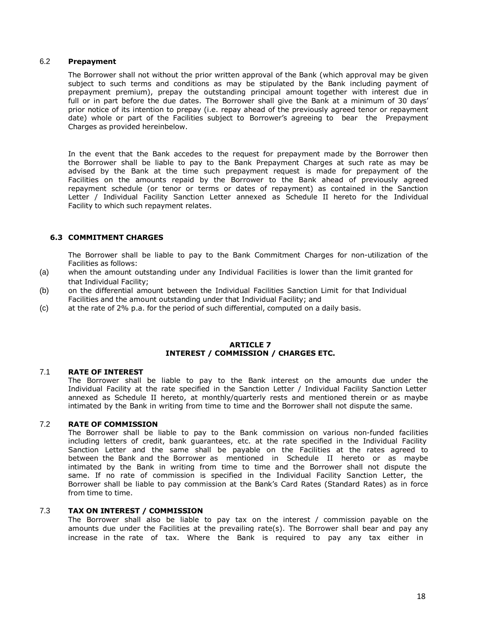## 6.2 **Prepayment**

The Borrower shall not without the prior written approval of the Bank (which approval may be given subject to such terms and conditions as may be stipulated by the Bank including payment of prepayment premium), prepay the outstanding principal amount together with interest due in full or in part before the due dates. The Borrower shall give the Bank at a minimum of 30 days' prior notice of its intention to prepay (i.e. repay ahead of the previously agreed tenor or repayment date) whole or part of the Facilities subject to Borrower's agreeing to bear the Prepayment Charges as provided hereinbelow.

In the event that the Bank accedes to the request for prepayment made by the Borrower then the Borrower shall be liable to pay to the Bank Prepayment Charges at such rate as may be advised by the Bank at the time such prepayment request is made for prepayment of the Facilities on the amounts repaid by the Borrower to the Bank ahead of previously agreed repayment schedule (or tenor or terms or dates of repayment) as contained in the Sanction Letter / Individual Facility Sanction Letter annexed as Schedule II hereto for the Individual Facility to which such repayment relates.

## **6.3 COMMITMENT CHARGES**

The Borrower shall be liable to pay to the Bank Commitment Charges for non-utilization of the Facilities as follows:

- (a) when the amount outstanding under any Individual Facilities is lower than the limit granted for that Individual Facility;
- (b) on the differential amount between the Individual Facilities Sanction Limit for that Individual Facilities and the amount outstanding under that Individual Facility; and
- (c) at the rate of 2% p.a. for the period of such differential, computed on a daily basis.

### **ARTICLE 7 INTEREST / COMMISSION / CHARGES ETC.**

## 7.1 **RATE OF INTEREST**

The Borrower shall be liable to pay to the Bank interest on the amounts due under the Individual Facility at the rate specified in the Sanction Letter / Individual Facility Sanction Letter annexed as Schedule II hereto, at monthly/quarterly rests and mentioned therein or as maybe intimated by the Bank in writing from time to time and the Borrower shall not dispute the same.

## 7.2 **RATE OF COMMISSION**

The Borrower shall be liable to pay to the Bank commission on various non-funded facilities including letters of credit, bank guarantees, etc. at the rate specified in the Individual Facility Sanction Letter and the same shall be payable on the Facilities at the rates agreed to between the Bank and the Borrower as mentioned in Schedule II hereto or as maybe intimated by the Bank in writing from time to time and the Borrower shall not dispute the same. If no rate of commission is specified in the Individual Facility Sanction Letter, the Borrower shall be liable to pay commission at the Bank's Card Rates (Standard Rates) as in force from time to time.

## 7.3 **TAX ON INTEREST / COMMISSION**

The Borrower shall also be liable to pay tax on the interest / commission payable on the amounts due under the Facilities at the prevailing rate(s). The Borrower shall bear and pay any increase in the rate of tax. Where the Bank is required to pay any tax either in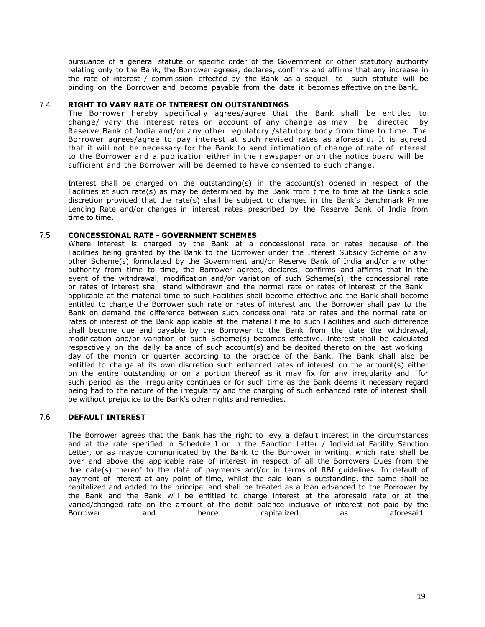pursuance of a general statute or specific order of the Government or other statutory authority relating only to the Bank, the Borrower agrees, declares, confirms and affirms that any increase in the rate of interest / commission effected by the Bank as a sequel to such statute will be binding on the Borrower and become payable from the date it becomes effective on the Bank.

## 7.4 **RIGHT TO VARY RATE OF INTEREST ON OUTSTANDINGS**

The Borrower hereby specifically agrees/agree that the Bank shall be entitled to change/ vary the interest rates on account of any change as may be directed by Reserve Bank of India and/or any other regulatory /statutory body from time to time. The Borrower agrees/agree to pay interest at such revised rates as aforesaid. It is agreed that it will not be necessary for the Bank to send intimation of change of rate of interest to the Borrower and a publication either in the newspaper or on the notice board will be sufficient and the Borrower will be deemed to have consented to such change.

Interest shall be charged on the outstanding(s) in the account(s) opened in respect of the Facilities at such rate(s) as may be determined by the Bank from time to time at the Bank's sole discretion provided that the rate(s) shall be subject to changes in the Bank's Benchmark Prime Lending Rate and/or changes in interest rates prescribed by the Reserve Bank of India from time to time.

## 7.5 **CONCESSIONAL RATE - GOVERNMENT SCHEMES**

Where interest is charged by the Bank at a concessional rate or rates because of the Facilities being granted by the Bank to the Borrower under the Interest Subsidy Scheme or any other Scheme(s) formulated by the Government and/or Reserve Bank of India and/or any other authority from time to time, the Borrower agrees, declares, confirms and affirms that in the event of the withdrawal, modification and/or variation of such Scheme(s), the concessional rate or rates of interest shall stand withdrawn and the normal rate or rates of interest of the Bank applicable at the material time to such Facilities shall become effective and the Bank shall become entitled to charge the Borrower such rate or rates of interest and the Borrower shall pay to the Bank on demand the difference between such concessional rate or rates and the normal rate or rates of interest of the Bank applicable at the material time to such Facilities and such difference shall become due and payable by the Borrower to the Bank from the date the withdrawal, modification and/or variation of such Scheme(s) becomes effective. Interest shall be calculated respectively on the daily balance of such account(s) and be debited thereto on the last working day of the month or quarter according to the practice of the Bank. The Bank shall also be entitled to charge at its own discretion such enhanced rates of interest on the account(s) either on the entire outstanding or on a portion thereof as it may fix for any irregularity and for such period as the irregularity continues or for such time as the Bank deems it necessary regard being had to the nature of the irregularity and the charging of such enhanced rate of interest shall be without prejudice to the Bank's other rights and remedies.

## 7.6 **DEFAULT INTEREST**

The Borrower agrees that the Bank has the right to levy a default interest in the circumstances and at the rate specified in Schedule I or in the Sanction Letter / Individual Facility Sanction Letter, or as maybe communicated by the Bank to the Borrower in writing, which rate shall be over and above the applicable rate of interest in respect of all the Borrowers Dues from the due date(s) thereof to the date of payments and/or in terms of RBI guidelines. In default of payment of interest at any point of time, whilst the said loan is outstanding, the same shall be capitalized and added to the principal and shall be treated as a loan advanced to the Borrower by the Bank and the Bank will be entitled to charge interest at the aforesaid rate or at the varied/changed rate on the amount of the debit balance inclusive of interest not paid by the Borrower and hence capitalized as aforesaid.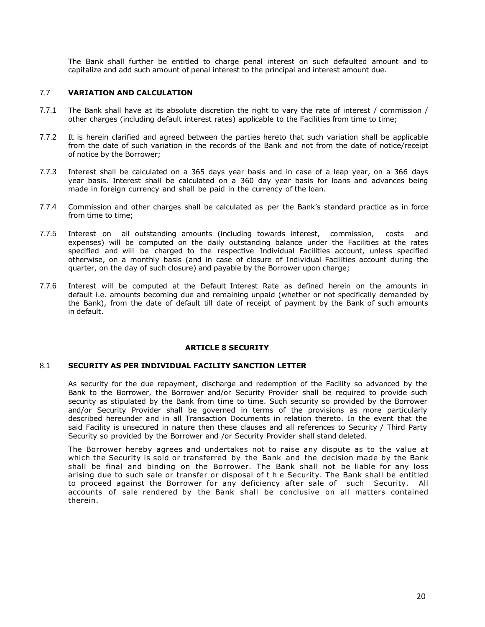The Bank shall further be entitled to charge penal interest on such defaulted amount and to capitalize and add such amount of penal interest to the principal and interest amount due.

### 7.7 **VARIATION AND CALCULATION**

- 7.7.1 The Bank shall have at its absolute discretion the right to vary the rate of interest / commission / other charges (including default interest rates) applicable to the Facilities from time to time;
- 7.7.2 It is herein clarified and agreed between the parties hereto that such variation shall be applicable from the date of such variation in the records of the Bank and not from the date of notice/receipt of notice by the Borrower;
- 7.7.3 Interest shall be calculated on a 365 days year basis and in case of a leap year, on a 366 days year basis. Interest shall be calculated on a 360 day year basis for loans and advances being made in foreign currency and shall be paid in the currency of the loan.
- 7.7.4 Commission and other charges shall be calculated as per the Bank's standard practice as in force from time to time;
- 7.7.5 Interest on all outstanding amounts (including towards interest, commission, costs and expenses) will be computed on the daily outstanding balance under the Facilities at the rates specified and will be charged to the respective Individual Facilities account, unless specified otherwise, on a monthly basis (and in case of closure of Individual Facilities account during the quarter, on the day of such closure) and payable by the Borrower upon charge;
- 7.7.6 Interest will be computed at the Default Interest Rate as defined herein on the amounts in default i.e. amounts becoming due and remaining unpaid (whether or not specifically demanded by the Bank), from the date of default till date of receipt of payment by the Bank of such amounts in default.

### **ARTICLE 8 SECURITY**

### 8.1 **SECURITY AS PER INDIVIDUAL FACILITY SANCTION LETTER**

As security for the due repayment, discharge and redemption of the Facility so advanced by the Bank to the Borrower, the Borrower and/or Security Provider shall be required to provide such security as stipulated by the Bank from time to time. Such security so provided by the Borrower and/or Security Provider shall be governed in terms of the provisions as more particularly described hereunder and in all Transaction Documents in relation thereto. In the event that the said Facility is unsecured in nature then these clauses and all references to Security / Third Party Security so provided by the Borrower and /or Security Provider shall stand deleted.

The Borrower hereby agrees and undertakes not to raise any dispute as to the value at which the Security is sold or transferred by the Bank and the decision made by the Bank shall be final and binding on the Borrower. The Bank shall not be liable for any loss arising due to such sale or transfer or disposal of t h e Security. The Bank shall be entitled to proceed against the Borrower for any deficiency after sale of such Security. All accounts of sale rendered by the Bank shall be conclusive on all matters contained therein.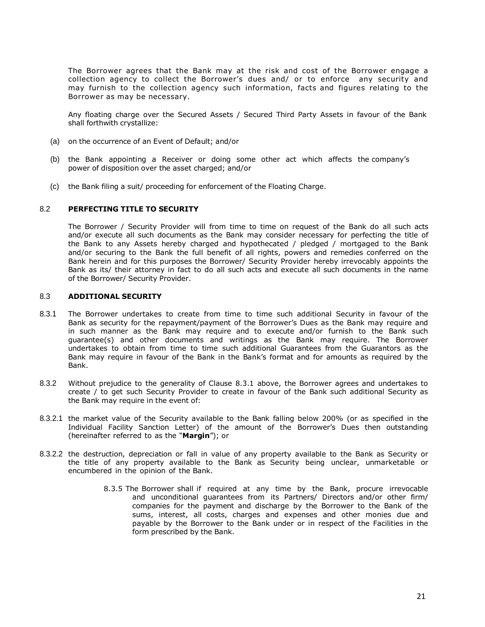The Borrower agrees that the Bank may at the risk and cost of the Borrower engage a collection agency to collect the Borrower's dues and/ or to enforce any security and may furnish to the collection agency such information, facts and figures relating to the Borrower as may be necessary.

Any floating charge over the Secured Assets / Secured Third Party Assets in favour of the Bank shall forthwith crystallize:

- (a) on the occurrence of an Event of Default; and/or
- (b) the Bank appointing a Receiver or doing some other act which affects the company's power of disposition over the asset charged; and/or
- (c) the Bank filing a suit/ proceeding for enforcement of the Floating Charge.

### 8.2 **PERFECTING TITLE TO SECURITY**

The Borrower / Security Provider will from time to time on request of the Bank do all such acts and/or execute all such documents as the Bank may consider necessary for perfecting the title of the Bank to any Assets hereby charged and hypothecated / pledged / mortgaged to the Bank and/or securing to the Bank the full benefit of all rights, powers and remedies conferred on the Bank herein and for this purposes the Borrower/ Security Provider hereby irrevocably appoints the Bank as its/ their attorney in fact to do all such acts and execute all such documents in the name of the Borrower/ Security Provider.

### 8.3 **ADDITIONAL SECURITY**

- 8.3.1 The Borrower undertakes to create from time to time such additional Security in favour of the Bank as security for the repayment/payment of the Borrower's Dues as the Bank may require and in such manner as the Bank may require and to execute and/or furnish to the Bank such guarantee(s) and other documents and writings as the Bank may require. The Borrower undertakes to obtain from time to time such additional Guarantees from the Guarantors as the Bank may require in favour of the Bank in the Bank's format and for amounts as required by the Bank.
- 8.3.2 Without prejudice to the generality of Clause 8.3.1 above, the Borrower agrees and undertakes to create / to get such Security Provider to create in favour of the Bank such additional Security as the Bank may require in the event of:
- 8.3.2.1 the market value of the Security available to the Bank falling below 200% (or as specified in the Individual Facility Sanction Letter) of the amount of the Borrower's Dues then outstanding (hereinafter referred to as the "**Margin**"); or
- 8.3.2.2 the destruction, depreciation or fall in value of any property available to the Bank as Security or the title of any property available to the Bank as Security being unclear, unmarketable or encumbered in the opinion of the Bank.
	- 8.3.5 The Borrower shall if required at any time by the Bank, procure irrevocable and unconditional guarantees from its Partners/ Directors and/or other firm/ companies for the payment and discharge by the Borrower to the Bank of the sums, interest, all costs, charges and expenses and other monies due and payable by the Borrower to the Bank under or in respect of the Facilities in the form prescribed by the Bank.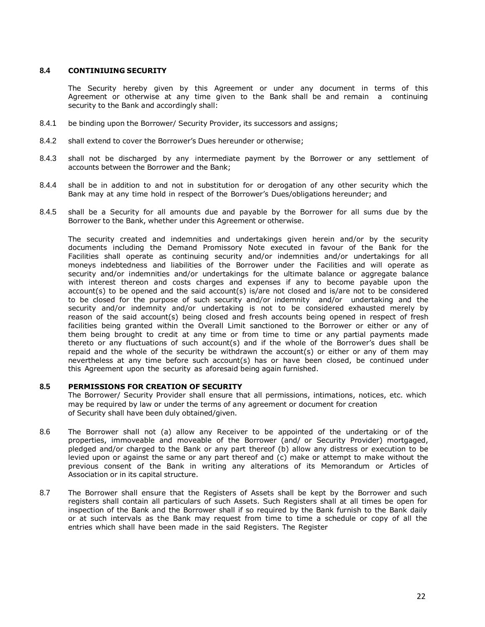### **8.4 CONTINIUING SECURITY**

The Security hereby given by this Agreement or under any document in terms of this Agreement or otherwise at any time given to the Bank shall be and remain a continuing security to the Bank and accordingly shall:

- 8.4.1 be binding upon the Borrower/ Security Provider, its successors and assigns;
- 8.4.2 shall extend to cover the Borrower's Dues hereunder or otherwise;
- 8.4.3 shall not be discharged by any intermediate payment by the Borrower or any settlement of accounts between the Borrower and the Bank;
- 8.4.4 shall be in addition to and not in substitution for or derogation of any other security which the Bank may at any time hold in respect of the Borrower's Dues/obligations hereunder; and
- 8.4.5 shall be a Security for all amounts due and payable by the Borrower for all sums due by the Borrower to the Bank, whether under this Agreement or otherwise.

The security created and indemnities and undertakings given herein and/or by the security documents including the Demand Promissory Note executed in favour of the Bank for the Facilities shall operate as continuing security and/or indemnities and/or undertakings for all moneys indebtedness and liabilities of the Borrower under the Facilities and will operate as security and/or indemnities and/or undertakings for the ultimate balance or aggregate balance with interest thereon and costs charges and expenses if any to become payable upon the account(s) to be opened and the said account(s) is/are not closed and is/are not to be considered to be closed for the purpose of such security and/or indemnity and/or undertaking and the security and/or indemnity and/or undertaking is not to be considered exhausted merely by reason of the said account(s) being closed and fresh accounts being opened in respect of fresh facilities being granted within the Overall Limit sanctioned to the Borrower or either or any of them being brought to credit at any time or from time to time or any partial payments made thereto or any fluctuations of such account(s) and if the whole of the Borrower's dues shall be repaid and the whole of the security be withdrawn the account(s) or either or any of them may nevertheless at any time before such account(s) has or have been closed, be continued under this Agreement upon the security as aforesaid being again furnished.

### **8.5 PERMISSIONS FOR CREATION OF SECURITY**

The Borrower/ Security Provider shall ensure that all permissions, intimations, notices, etc. which may be required by law or under the terms of any agreement or document for creation of Security shall have been duly obtained/given.

- 8.6 The Borrower shall not (a) allow any Receiver to be appointed of the undertaking or of the properties, immoveable and moveable of the Borrower (and/ or Security Provider) mortgaged, pledged and/or charged to the Bank or any part thereof (b) allow any distress or execution to be levied upon or against the same or any part thereof and (c) make or attempt to make without the previous consent of the Bank in writing any alterations of its Memorandum or Articles of Association or in its capital structure.
- 8.7 The Borrower shall ensure that the Registers of Assets shall be kept by the Borrower and such registers shall contain all particulars of such Assets. Such Registers shall at all times be open for inspection of the Bank and the Borrower shall if so required by the Bank furnish to the Bank daily or at such intervals as the Bank may request from time to time a schedule or copy of all the entries which shall have been made in the said Registers. The Register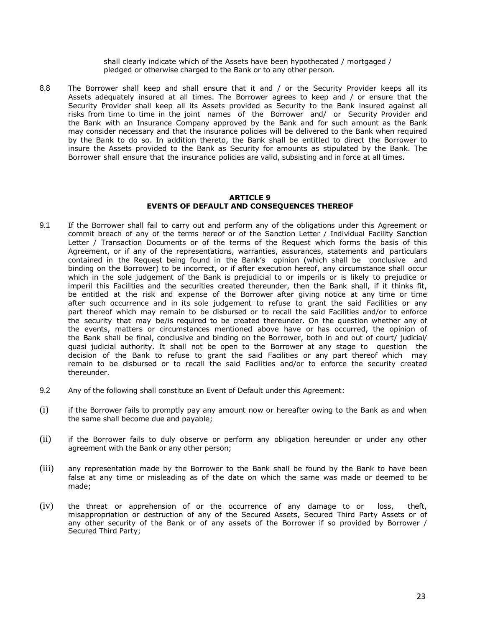shall clearly indicate which of the Assets have been hypothecated / mortgaged / pledged or otherwise charged to the Bank or to any other person.

8.8 The Borrower shall keep and shall ensure that it and / or the Security Provider keeps all its Assets adequately insured at all times. The Borrower agrees to keep and / or ensure that the Security Provider shall keep all its Assets provided as Security to the Bank insured against all risks from time to time in the joint names of the Borrower and/ or Security Provider and the Bank with an Insurance Company approved by the Bank and for such amount as the Bank may consider necessary and that the insurance policies will be delivered to the Bank when required by the Bank to do so. In addition thereto, the Bank shall be entitled to direct the Borrower to insure the Assets provided to the Bank as Security for amounts as stipulated by the Bank. The Borrower shall ensure that the insurance policies are valid, subsisting and in force at all times.

#### **ARTICLE 9 EVENTS OF DEFAULT AND CONSEQUENCES THEREOF**

- 9.1 If the Borrower shall fail to carry out and perform any of the obligations under this Agreement or commit breach of any of the terms hereof or of the Sanction Letter / Individual Facility Sanction Letter / Transaction Documents or of the terms of the Request which forms the basis of this Agreement, or if any of the representations, warranties, assurances, statements and particulars contained in the Request being found in the Bank's opinion (which shall be conclusive and binding on the Borrower) to be incorrect, or if after execution hereof, any circumstance shall occur which in the sole judgement of the Bank is prejudicial to or imperils or is likely to prejudice or imperil this Facilities and the securities created thereunder, then the Bank shall, if it thinks fit, be entitled at the risk and expense of the Borrower after giving notice at any time or time after such occurrence and in its sole judgement to refuse to grant the said Facilities or any part thereof which may remain to be disbursed or to recall the said Facilities and/or to enforce the security that may be/is required to be created thereunder. On the question whether any of the events, matters or circumstances mentioned above have or has occurred, the opinion of the Bank shall be final, conclusive and binding on the Borrower, both in and out of court/ judicial/ quasi judicial authority. It shall not be open to the Borrower at any stage to question the decision of the Bank to refuse to grant the said Facilities or any part thereof which may remain to be disbursed or to recall the said Facilities and/or to enforce the security created thereunder.
- 9.2 Any of the following shall constitute an Event of Default under this Agreement:
- (i) if the Borrower fails to promptly pay any amount now or hereafter owing to the Bank as and when the same shall become due and payable;
- (ii) if the Borrower fails to duly observe or perform any obligation hereunder or under any other agreement with the Bank or any other person;
- (iii) any representation made by the Borrower to the Bank shall be found by the Bank to have been false at any time or misleading as of the date on which the same was made or deemed to be made;
- (iv) the threat or apprehension of or the occurrence of any damage to or loss, theft, misappropriation or destruction of any of the Secured Assets, Secured Third Party Assets or of any other security of the Bank or of any assets of the Borrower if so provided by Borrower / Secured Third Party;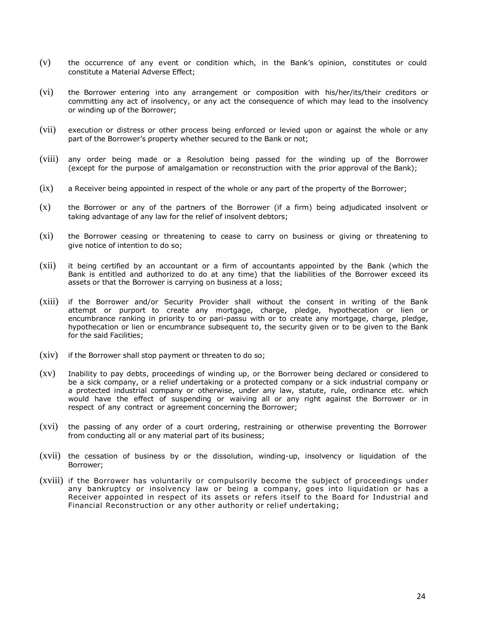- (v) the occurrence of any event or condition which, in the Bank's opinion, constitutes or could constitute a Material Adverse Effect;
- (vi) the Borrower entering into any arrangement or composition with his/her/its/their creditors or committing any act of insolvency, or any act the consequence of which may lead to the insolvency or winding up of the Borrower;
- (vii) execution or distress or other process being enforced or levied upon or against the whole or any part of the Borrower's property whether secured to the Bank or not;
- (viii) any order being made or a Resolution being passed for the winding up of the Borrower (except for the purpose of amalgamation or reconstruction with the prior approval of the Bank);
- (ix) a Receiver being appointed in respect of the whole or any part of the property of the Borrower;
- (x) the Borrower or any of the partners of the Borrower (if a firm) being adjudicated insolvent or taking advantage of any law for the relief of insolvent debtors;
- (xi) the Borrower ceasing or threatening to cease to carry on business or giving or threatening to give notice of intention to do so;
- (xii) it being certified by an accountant or a firm of accountants appointed by the Bank (which the Bank is entitled and authorized to do at any time) that the liabilities of the Borrower exceed its assets or that the Borrower is carrying on business at a loss;
- (xiii) if the Borrower and/or Security Provider shall without the consent in writing of the Bank attempt or purport to create any mortgage, charge, pledge, hypothecation or lien or encumbrance ranking in priority to or pari-passu with or to create any mortgage, charge, pledge, hypothecation or lien or encumbrance subsequent to, the security given or to be given to the Bank for the said Facilities;
- $(xiv)$  if the Borrower shall stop payment or threaten to do so;
- (xv) Inability to pay debts, proceedings of winding up, or the Borrower being declared or considered to be a sick company, or a relief undertaking or a protected company or a sick industrial company or a protected industrial company or otherwise, under any law, statute, rule, ordinance etc. which would have the effect of suspending or waiving all or any right against the Borrower or in respect of any contract or agreement concerning the Borrower;
- (xvi) the passing of any order of a court ordering, restraining or otherwise preventing the Borrower from conducting all or any material part of its business;
- (xvii) the cessation of business by or the dissolution, winding-up, insolvency or liquidation of the Borrower;
- (xviii) if the Borrower has voluntarily or compulsorily become the subject of proceedings under any bankruptcy or insolvency law or being a company, goes into liquidation or has a Receiver appointed in respect of its assets or refers itself to the Board for Industrial and Financial Reconstruction or any other authority or relief undertaking;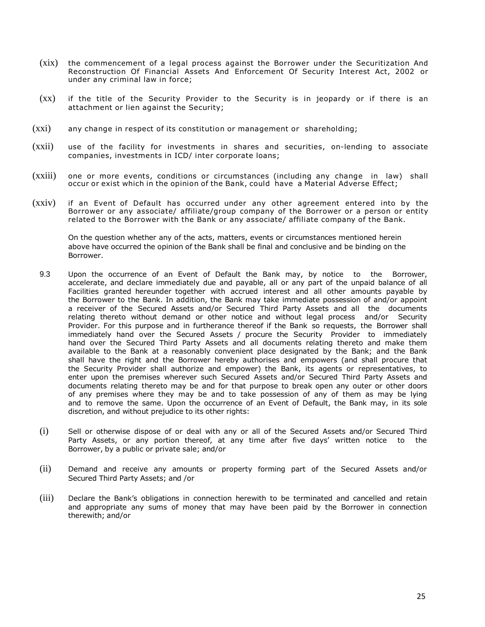- (xix) the commencement of a legal process against the Borrower under the Securitization And Reconstruction Of Financial Assets And Enforcement Of Security Interest Act, 2002 or under any criminal law in force;
- (xx) if the title of the Security Provider to the Security is in jeopardy or if there is an attachment or lien against the Security;
- (xxi) any change in respect of its constitution or management or shareholding;
- (xxii) use of the facility for investments in shares and securities, on-lending to associate companies, investments in ICD/ inter corporate loans;
- (xxiii) one or more events, conditions or circumstances (including any change in law) shall occur or exist which in the opinion of the Bank, could have a Material Adverse Effect;
- (xxiv) if an Event of Default has occurred under any other agreement entered into by the Borrower or any associate/ affiliate/group company of the Borrower or a person or entity related to the Borrower with the Bank or any associate/ affiliate company of the Bank.

On the question whether any of the acts, matters, events or circumstances mentioned herein above have occurred the opinion of the Bank shall be final and conclusive and be binding on the Borrower.

- 9.3 Upon the occurrence of an Event of Default the Bank may, by notice to the Borrower, accelerate, and declare immediately due and payable, all or any part of the unpaid balance of all Facilities granted hereunder together with accrued interest and all other amounts payable by the Borrower to the Bank. In addition, the Bank may take immediate possession of and/or appoint a receiver of the Secured Assets and/or Secured Third Party Assets and all the documents relating thereto without demand or other notice and without legal process and/or Security Provider. For this purpose and in furtherance thereof if the Bank so requests, the Borrower shall immediately hand over the Secured Assets / procure the Security Provider to immediately hand over the Secured Third Party Assets and all documents relating thereto and make them available to the Bank at a reasonably convenient place designated by the Bank; and the Bank shall have the right and the Borrower hereby authorises and empowers (and shall procure that the Security Provider shall authorize and empower) the Bank, its agents or representatives, to enter upon the premises wherever such Secured Assets and/or Secured Third Party Assets and documents relating thereto may be and for that purpose to break open any outer or other doors of any premises where they may be and to take possession of any of them as may be lying and to remove the same. Upon the occurrence of an Event of Default, the Bank may, in its sole discretion, and without prejudice to its other rights:
- (i) Sell or otherwise dispose of or deal with any or all of the Secured Assets and/or Secured Third Party Assets, or any portion thereof, at any time after five days' written notice to the Borrower, by a public or private sale; and/or
- (ii) Demand and receive any amounts or property forming part of the Secured Assets and/or Secured Third Party Assets; and /or
- (iii) Declare the Bank's obligations in connection herewith to be terminated and cancelled and retain and appropriate any sums of money that may have been paid by the Borrower in connection therewith; and/or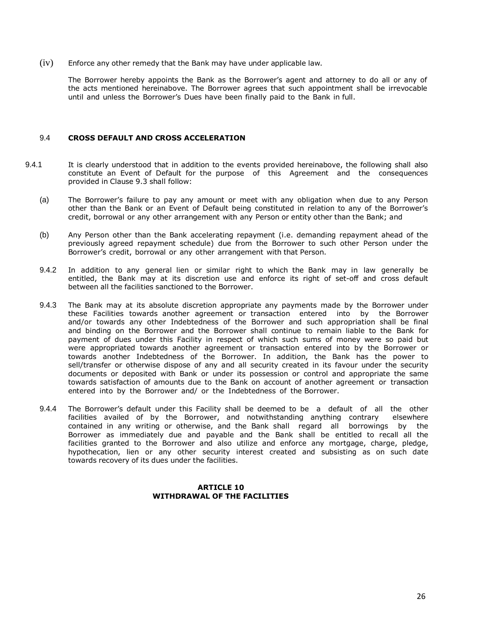(iv) Enforce any other remedy that the Bank may have under applicable law.

The Borrower hereby appoints the Bank as the Borrower's agent and attorney to do all or any of the acts mentioned hereinabove. The Borrower agrees that such appointment shall be irrevocable until and unless the Borrower's Dues have been finally paid to the Bank in full.

#### 9.4 **CROSS DEFAULT AND CROSS ACCELERATION**

- 9.4.1 It is clearly understood that in addition to the events provided hereinabove, the following shall also constitute an Event of Default for the purpose of this Agreement and the consequences provided in Clause 9.3 shall follow:
	- (a) The Borrower's failure to pay any amount or meet with any obligation when due to any Person other than the Bank or an Event of Default being constituted in relation to any of the Borrower's credit, borrowal or any other arrangement with any Person or entity other than the Bank; and
	- (b) Any Person other than the Bank accelerating repayment (i.e. demanding repayment ahead of the previously agreed repayment schedule) due from the Borrower to such other Person under the Borrower's credit, borrowal or any other arrangement with that Person.
	- 9.4.2 In addition to any general lien or similar right to which the Bank may in law generally be entitled, the Bank may at its discretion use and enforce its right of set-off and cross default between all the facilities sanctioned to the Borrower.
	- 9.4.3 The Bank may at its absolute discretion appropriate any payments made by the Borrower under these Facilities towards another agreement or transaction entered into by the Borrower and/or towards any other Indebtedness of the Borrower and such appropriation shall be final and binding on the Borrower and the Borrower shall continue to remain liable to the Bank for payment of dues under this Facility in respect of which such sums of money were so paid but were appropriated towards another agreement or transaction entered into by the Borrower or towards another Indebtedness of the Borrower. In addition, the Bank has the power to sell/transfer or otherwise dispose of any and all security created in its favour under the security documents or deposited with Bank or under its possession or control and appropriate the same towards satisfaction of amounts due to the Bank on account of another agreement or transaction entered into by the Borrower and/ or the Indebtedness of the Borrower.
	- 9.4.4 The Borrower's default under this Facility shall be deemed to be a default of all the other facilities availed of by the Borrower, and notwithstanding anything contrary elsewhere contained in any writing or otherwise, and the Bank shall regard all borrowings by the Borrower as immediately due and payable and the Bank shall be entitled to recall all the facilities granted to the Borrower and also utilize and enforce any mortgage, charge, pledge, hypothecation, lien or any other security interest created and subsisting as on such date towards recovery of its dues under the facilities.

## **ARTICLE 10 WITHDRAWAL OF THE FACILITIES**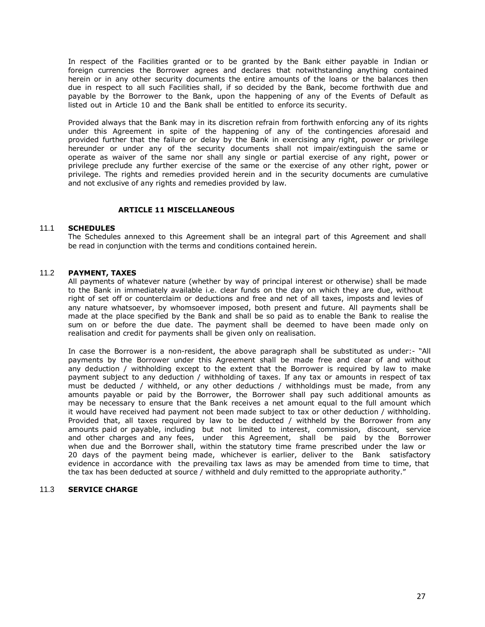In respect of the Facilities granted or to be granted by the Bank either payable in Indian or foreign currencies the Borrower agrees and declares that notwithstanding anything contained herein or in any other security documents the entire amounts of the loans or the balances then due in respect to all such Facilities shall, if so decided by the Bank, become forthwith due and payable by the Borrower to the Bank, upon the happening of any of the Events of Default as listed out in Article 10 and the Bank shall be entitled to enforce its security.

Provided always that the Bank may in its discretion refrain from forthwith enforcing any of its rights under this Agreement in spite of the happening of any of the contingencies aforesaid and provided further that the failure or delay by the Bank in exercising any right, power or privilege hereunder or under any of the security documents shall not impair/extinguish the same or operate as waiver of the same nor shall any single or partial exercise of any right, power or privilege preclude any further exercise of the same or the exercise of any other right, power or privilege. The rights and remedies provided herein and in the security documents are cumulative and not exclusive of any rights and remedies provided by law.

## **ARTICLE 11 MISCELLANEOUS**

## 11.1 **SCHEDULES**

The Schedules annexed to this Agreement shall be an integral part of this Agreement and shall be read in conjunction with the terms and conditions contained herein.

## 11.2 **PAYMENT, TAXES**

All payments of whatever nature (whether by way of principal interest or otherwise) shall be made to the Bank in immediately available i.e. clear funds on the day on which they are due, without right of set off or counterclaim or deductions and free and net of all taxes, imposts and levies of any nature whatsoever, by whomsoever imposed, both present and future. All payments shall be made at the place specified by the Bank and shall be so paid as to enable the Bank to realise the sum on or before the due date. The payment shall be deemed to have been made only on realisation and credit for payments shall be given only on realisation.

In case the Borrower is a non-resident, the above paragraph shall be substituted as under:- "All payments by the Borrower under this Agreement shall be made free and clear of and without any deduction / withholding except to the extent that the Borrower is required by law to make payment subject to any deduction / withholding of taxes. If any tax or amounts in respect of tax must be deducted / withheld, or any other deductions / withholdings must be made, from any amounts payable or paid by the Borrower, the Borrower shall pay such additional amounts as may be necessary to ensure that the Bank receives a net amount equal to the full amount which it would have received had payment not been made subject to tax or other deduction / withholding. Provided that, all taxes required by law to be deducted / withheld by the Borrower from any amounts paid or payable, including but not limited to interest, commission, discount, service and other charges and any fees, under this Agreement, shall be paid by the Borrower when due and the Borrower shall, within the statutory time frame prescribed under the law or 20 days of the payment being made, whichever is earlier, deliver to the Bank satisfactory evidence in accordance with the prevailing tax laws as may be amended from time to time, that the tax has been deducted at source / withheld and duly remitted to the appropriate authority."

### 11.3 **SERVICE CHARGE**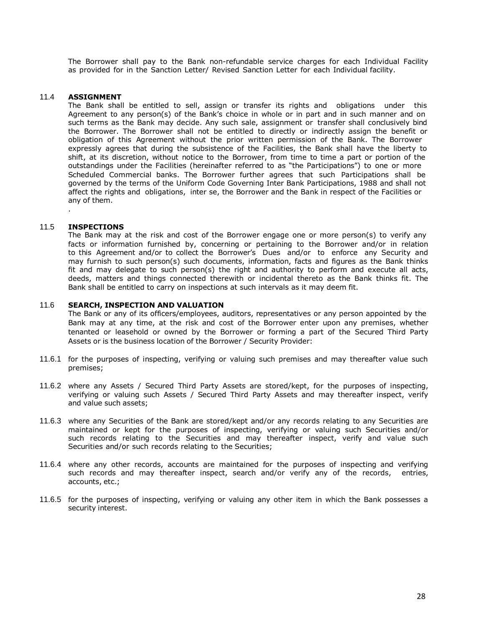The Borrower shall pay to the Bank non-refundable service charges for each Individual Facility as provided for in the Sanction Letter/ Revised Sanction Letter for each Individual facility.

### 11.4 **ASSIGNMENT**

The Bank shall be entitled to sell, assign or transfer its rights and obligations under this Agreement to any person(s) of the Bank's choice in whole or in part and in such manner and on such terms as the Bank may decide. Any such sale, assignment or transfer shall conclusively bind the Borrower. The Borrower shall not be entitled to directly or indirectly assign the benefit or obligation of this Agreement without the prior written permission of the Bank. The Borrower expressly agrees that during the subsistence of the Facilities, the Bank shall have the liberty to shift, at its discretion, without notice to the Borrower, from time to time a part or portion of the outstandings under the Facilities (hereinafter referred to as "the Participations") to one or more Scheduled Commercial banks. The Borrower further agrees that such Participations shall be governed by the terms of the Uniform Code Governing Inter Bank Participations, 1988 and shall not affect the rights and obligations, inter se, the Borrower and the Bank in respect of the Facilities or any of them.

#### 11.5 **INSPECTIONS**

.

The Bank may at the risk and cost of the Borrower engage one or more person(s) to verify any facts or information furnished by, concerning or pertaining to the Borrower and/or in relation to this Agreement and/or to collect the Borrower's Dues and/or to enforce any Security and may furnish to such person(s) such documents, information, facts and figures as the Bank thinks fit and may delegate to such person(s) the right and authority to perform and execute all acts, deeds, matters and things connected therewith or incidental thereto as the Bank thinks fit. The Bank shall be entitled to carry on inspections at such intervals as it may deem fit.

#### 11.6 **SEARCH, INSPECTION AND VALUATION**

The Bank or any of its officers/employees, auditors, representatives or any person appointed by the Bank may at any time, at the risk and cost of the Borrower enter upon any premises, whether tenanted or leasehold or owned by the Borrower or forming a part of the Secured Third Party Assets or is the business location of the Borrower / Security Provider:

- 11.6.1 for the purposes of inspecting, verifying or valuing such premises and may thereafter value such premises;
- 11.6.2 where any Assets / Secured Third Party Assets are stored/kept, for the purposes of inspecting, verifying or valuing such Assets / Secured Third Party Assets and may thereafter inspect, verify and value such assets;
- 11.6.3 where any Securities of the Bank are stored/kept and/or any records relating to any Securities are maintained or kept for the purposes of inspecting, verifying or valuing such Securities and/or such records relating to the Securities and may thereafter inspect, verify and value such Securities and/or such records relating to the Securities;
- 11.6.4 where any other records, accounts are maintained for the purposes of inspecting and verifying such records and may thereafter inspect, search and/or verify any of the records, entries, accounts, etc.;
- 11.6.5 for the purposes of inspecting, verifying or valuing any other item in which the Bank possesses a security interest.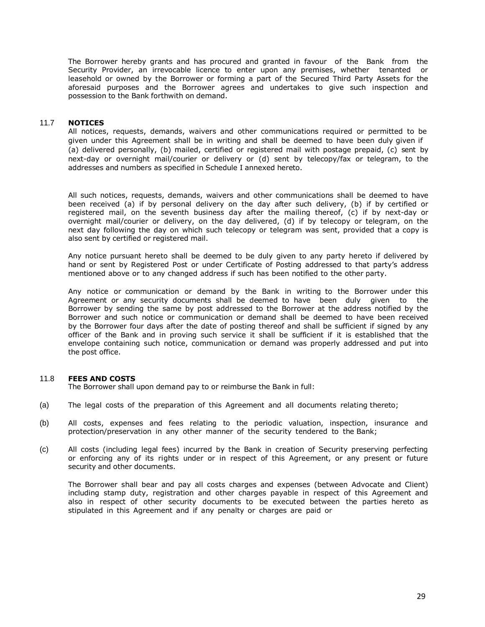The Borrower hereby grants and has procured and granted in favour of the Bank from the Security Provider, an irrevocable licence to enter upon any premises, whether tenanted or leasehold or owned by the Borrower or forming a part of the Secured Third Party Assets for the aforesaid purposes and the Borrower agrees and undertakes to give such inspection and possession to the Bank forthwith on demand.

## 11.7 **NOTICES**

All notices, requests, demands, waivers and other communications required or permitted to be given under this Agreement shall be in writing and shall be deemed to have been duly given if (a) delivered personally, (b) mailed, certified or registered mail with postage prepaid, (c) sent by next-day or overnight mail/courier or delivery or (d) sent by telecopy/fax or telegram, to the addresses and numbers as specified in Schedule I annexed hereto.

All such notices, requests, demands, waivers and other communications shall be deemed to have been received (a) if by personal delivery on the day after such delivery, (b) if by certified or registered mail, on the seventh business day after the mailing thereof, (c) if by next-day or overnight mail/courier or delivery, on the day delivered, (d) if by telecopy or telegram, on the next day following the day on which such telecopy or telegram was sent, provided that a copy is also sent by certified or registered mail.

Any notice pursuant hereto shall be deemed to be duly given to any party hereto if delivered by hand or sent by Registered Post or under Certificate of Posting addressed to that party's address mentioned above or to any changed address if such has been notified to the other party.

Any notice or communication or demand by the Bank in writing to the Borrower under this Agreement or any security documents shall be deemed to have been duly given to the Borrower by sending the same by post addressed to the Borrower at the address notified by the Borrower and such notice or communication or demand shall be deemed to have been received by the Borrower four days after the date of posting thereof and shall be sufficient if signed by any officer of the Bank and in proving such service it shall be sufficient if it is established that the envelope containing such notice, communication or demand was properly addressed and put into the post office.

## 11.8 **FEES AND COSTS**

The Borrower shall upon demand pay to or reimburse the Bank in full:

- (a) The legal costs of the preparation of this Agreement and all documents relating thereto;
- (b) All costs, expenses and fees relating to the periodic valuation, inspection, insurance and protection/preservation in any other manner of the security tendered to the Bank;
- (c) All costs (including legal fees) incurred by the Bank in creation of Security preserving perfecting or enforcing any of its rights under or in respect of this Agreement, or any present or future security and other documents.

The Borrower shall bear and pay all costs charges and expenses (between Advocate and Client) including stamp duty, registration and other charges payable in respect of this Agreement and also in respect of other security documents to be executed between the parties hereto as stipulated in this Agreement and if any penalty or charges are paid or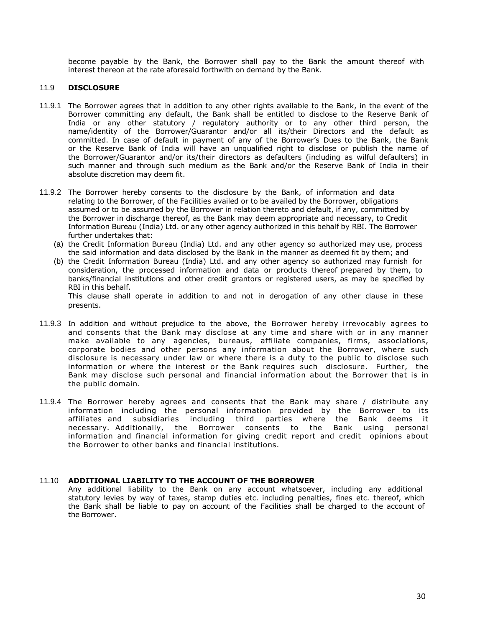become payable by the Bank, the Borrower shall pay to the Bank the amount thereof with interest thereon at the rate aforesaid forthwith on demand by the Bank.

## 11.9 **DISCLOSURE**

- 11.9.1 The Borrower agrees that in addition to any other rights available to the Bank, in the event of the Borrower committing any default, the Bank shall be entitled to disclose to the Reserve Bank of India or any other statutory / regulatory authority or to any other third person, the name/identity of the Borrower/Guarantor and/or all its/their Directors and the default as committed. In case of default in payment of any of the Borrower's Dues to the Bank, the Bank or the Reserve Bank of India will have an unqualified right to disclose or publish the name of the Borrower/Guarantor and/or its/their directors as defaulters (including as wilful defaulters) in such manner and through such medium as the Bank and/or the Reserve Bank of India in their absolute discretion may deem fit.
- 11.9.2 The Borrower hereby consents to the disclosure by the Bank, of information and data relating to the Borrower, of the Facilities availed or to be availed by the Borrower, obligations assumed or to be assumed by the Borrower in relation thereto and default, if any, committed by the Borrower in discharge thereof, as the Bank may deem appropriate and necessary, to Credit Information Bureau (India) Ltd. or any other agency authorized in this behalf by RBI. The Borrower further undertakes that:
	- (a) the Credit Information Bureau (India) Ltd. and any other agency so authorized may use, process the said information and data disclosed by the Bank in the manner as deemed fit by them; and
	- (b) the Credit Information Bureau (India) Ltd. and any other agency so authorized may furnish for consideration, the processed information and data or products thereof prepared by them, to banks/financial institutions and other credit grantors or registered users, as may be specified by RBI in this behalf. This clause shall operate in addition to and not in derogation of any other clause in these

presents.

- 11.9.3 In addition and without prejudice to the above, the Borrower hereby irrevocably agrees to and consents that the Bank may disclose at any time and share with or in any manner make available to any agencies, bureaus, affiliate companies, firms, associations, corporate bodies and other persons any information about the Borrower, where such disclosure is necessary under law or where there is a duty to the public to disclose such information or where the interest or the Bank requires such disclosure. Further, the Bank may disclose such personal and financial information about the Borrower that is in the public domain.
- 11.9.4 The Borrower hereby agrees and consents that the Bank may share / distribute any information including the personal information provided by the Borrower to its affiliates and subsidiaries including third parties where the Bank deems it necessary. Additionally, the Borrower consents to the Bank using personal information and financial information for giving credit report and credit opinions about the Borrower to other banks and financial institutions.

## 11.10 **ADDITIONAL LIABILITY TO THE ACCOUNT OF THE BORROWER**

Any additional liability to the Bank on any account whatsoever, including any additional statutory levies by way of taxes, stamp duties etc. including penalties, fines etc. thereof, which the Bank shall be liable to pay on account of the Facilities shall be charged to the account of the Borrower.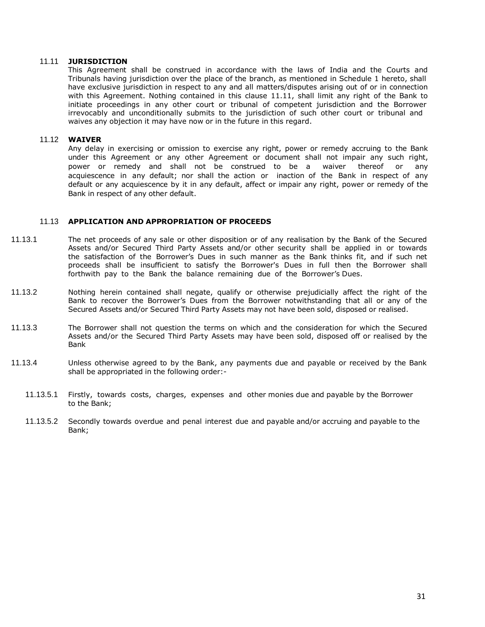#### 11.11 **JURISDICTION**

This Agreement shall be construed in accordance with the laws of India and the Courts and Tribunals having jurisdiction over the place of the branch, as mentioned in Schedule 1 hereto, shall have exclusive jurisdiction in respect to any and all matters/disputes arising out of or in connection with this Agreement. Nothing contained in this clause 11.11, shall limit any right of the Bank to initiate proceedings in any other court or tribunal of competent jurisdiction and the Borrower irrevocably and unconditionally submits to the jurisdiction of such other court or tribunal and waives any objection it may have now or in the future in this regard.

#### 11.12 **WAIVER**

Any delay in exercising or omission to exercise any right, power or remedy accruing to the Bank under this Agreement or any other Agreement or document shall not impair any such right, power or remedy and shall not be construed to be a waiver thereof or any acquiescence in any default; nor shall the action or inaction of the Bank in respect of any default or any acquiescence by it in any default, affect or impair any right, power or remedy of the Bank in respect of any other default.

## 11.13 **APPLICATION AND APPROPRIATION OF PROCEEDS**

- 11.13.1 The net proceeds of any sale or other disposition or of any realisation by the Bank of the Secured Assets and/or Secured Third Party Assets and/or other security shall be applied in or towards the satisfaction of the Borrower's Dues in such manner as the Bank thinks fit, and if such net proceeds shall be insufficient to satisfy the Borrower's Dues in full then the Borrower shall forthwith pay to the Bank the balance remaining due of the Borrower's Dues.
- 11.13.2 Nothing herein contained shall negate, qualify or otherwise prejudicially affect the right of the Bank to recover the Borrower's Dues from the Borrower notwithstanding that all or any of the Secured Assets and/or Secured Third Party Assets may not have been sold, disposed or realised.
- 11.13.3 The Borrower shall not question the terms on which and the consideration for which the Secured Assets and/or the Secured Third Party Assets may have been sold, disposed off or realised by the Bank
- 11.13.4 Unless otherwise agreed to by the Bank, any payments due and payable or received by the Bank shall be appropriated in the following order:-
	- 11.13.5.1 Firstly, towards costs, charges, expenses and other monies due and payable by the Borrower to the Bank;
	- 11.13.5.2 Secondly towards overdue and penal interest due and payable and/or accruing and payable to the Bank;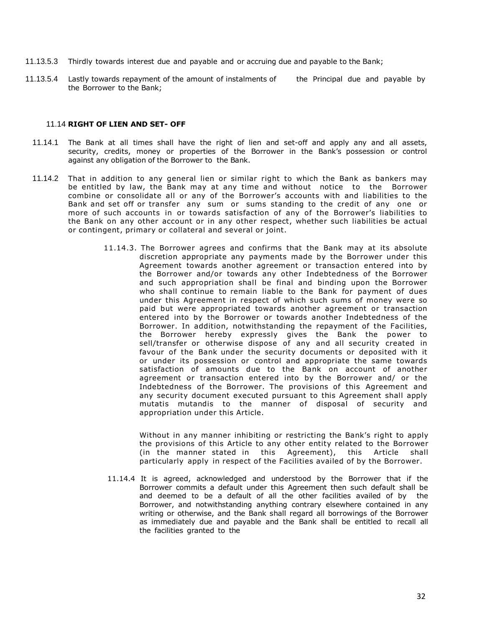- 11.13.5.3 Thirdly towards interest due and payable and or accruing due and payable to the Bank;
- 11.13.5.4 Lastly towards repayment of the amount of instalments of the Principal due and payable by the Borrower to the Bank;

#### 11.14 **RIGHT OF LIEN AND SET- OFF**

- 11.14.1 The Bank at all times shall have the right of lien and set-off and apply any and all assets, security, credits, money or properties of the Borrower in the Bank's possession or control against any obligation of the Borrower to the Bank.
- 11.14.2 That in addition to any general lien or similar right to which the Bank as bankers may be entitled by law, the Bank may at any time and without notice to the Borrower combine or consolidate all or any of the Borrower's accounts with and liabilities to the Bank and set off or transfer any sum or sums standing to the credit of any one or more of such accounts in or towards satisfaction of any of the Borrower's liabilities to the Bank on any other account or in any other respect, whether such liabilities be actual or contingent, primary or collateral and several or joint.
	- 11.14.3. The Borrower agrees and confirms that the Bank may at its absolute discretion appropriate any payments made by the Borrower under this Agreement towards another agreement or transaction entered into by the Borrower and/or towards any other Indebtedness of the Borrower and such appropriation shall be final and binding upon the Borrower who shall continue to remain liable to the Bank for payment of dues under this Agreement in respect of which such sums of money were so paid but were appropriated towards another agreement or transaction entered into by the Borrower or towards another Indebtedness of the Borrower. In addition, notwithstanding the repayment of the Facilities, the Borrower hereby expressly gives the Bank the power to sell/transfer or otherwise dispose of any and all security created in favour of the Bank under the security documents or deposited with it or under its possession or control and appropriate the same towards satisfaction of amounts due to the Bank on account of another agreement or transaction entered into by the Borrower and/ or the Indebtedness of the Borrower. The provisions of this Agreement and any security document executed pursuant to this Agreement shall apply mutatis mutandis to the manner of disposal of security and appropriation under this Article.

Without in any manner inhibiting or restricting the Bank's right to apply the provisions of this Article to any other entity related to the Borrower (in the manner stated in this Agreement), this Article shall particularly apply in respect of the Facilities availed of by the Borrower.

11.14.4 It is agreed, acknowledged and understood by the Borrower that if the Borrower commits a default under this Agreement then such default shall be and deemed to be a default of all the other facilities availed of by the Borrower, and notwithstanding anything contrary elsewhere contained in any writing or otherwise, and the Bank shall regard all borrowings of the Borrower as immediately due and payable and the Bank shall be entitled to recall all the facilities granted to the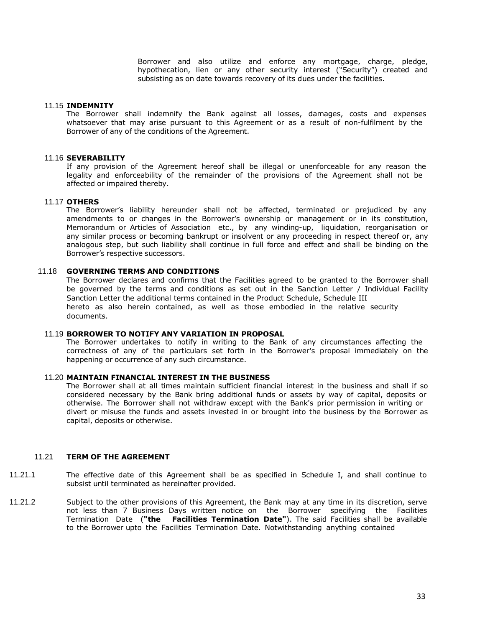Borrower and also utilize and enforce any mortgage, charge, pledge, hypothecation, lien or any other security interest ("Security") created and subsisting as on date towards recovery of its dues under the facilities.

#### 11.15 **INDEMNITY**

The Borrower shall indemnify the Bank against all losses, damages, costs and expenses whatsoever that may arise pursuant to this Agreement or as a result of non-fulfilment by the Borrower of any of the conditions of the Agreement.

### 11.16 **SEVERABILITY**

If any provision of the Agreement hereof shall be illegal or unenforceable for any reason the legality and enforceability of the remainder of the provisions of the Agreement shall not be affected or impaired thereby.

### 11.17 **OTHERS**

The Borrower's liability hereunder shall not be affected, terminated or prejudiced by any amendments to or changes in the Borrower's ownership or management or in its constitution, Memorandum or Articles of Association etc., by any winding-up, liquidation, reorganisation or any similar process or becoming bankrupt or insolvent or any proceeding in respect thereof or, any analogous step, but such liability shall continue in full force and effect and shall be binding on the Borrower's respective successors.

## 11.18 **GOVERNING TERMS AND CONDITIONS**

The Borrower declares and confirms that the Facilities agreed to be granted to the Borrower shall be governed by the terms and conditions as set out in the Sanction Letter / Individual Facility Sanction Letter the additional terms contained in the Product Schedule, Schedule III hereto as also herein contained, as well as those embodied in the relative security documents.

#### 11.19 **BORROWER TO NOTIFY ANY VARIATION IN PROPOSAL**

The Borrower undertakes to notify in writing to the Bank of any circumstances affecting the correctness of any of the particulars set forth in the Borrower's proposal immediately on the happening or occurrence of any such circumstance.

#### 11.20 **MAINTAIN FINANCIAL INTEREST IN THE BUSINESS**

The Borrower shall at all times maintain sufficient financial interest in the business and shall if so considered necessary by the Bank bring additional funds or assets by way of capital, deposits or otherwise. The Borrower shall not withdraw except with the Bank's prior permission in writing or divert or misuse the funds and assets invested in or brought into the business by the Borrower as capital, deposits or otherwise.

## 11.21 **TERM OF THE AGREEMENT**

- 11.21.1 The effective date of this Agreement shall be as specified in Schedule I, and shall continue to subsist until terminated as hereinafter provided.
- 11.21.2 Subject to the other provisions of this Agreement, the Bank may at any time in its discretion, serve not less than 7 Business Days written notice on the Borrower specifying the Facilities Termination Date (**"the Facilities Termination Date"**). The said Facilities shall be available to the Borrower upto the Facilities Termination Date. Notwithstanding anything contained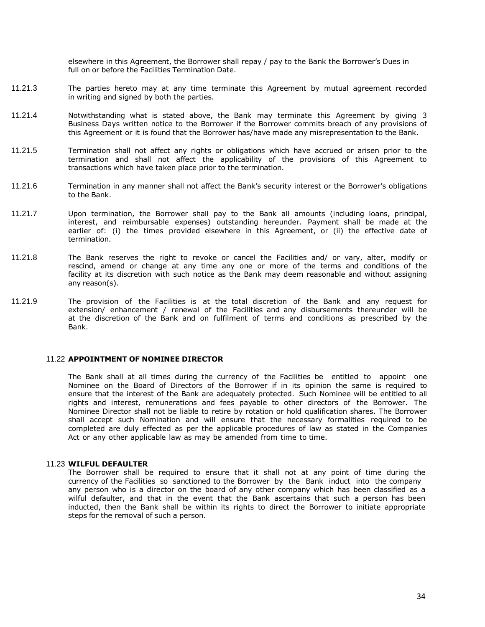elsewhere in this Agreement, the Borrower shall repay / pay to the Bank the Borrower's Dues in full on or before the Facilities Termination Date.

- 11.21.3 The parties hereto may at any time terminate this Agreement by mutual agreement recorded in writing and signed by both the parties.
- 11.21.4 Notwithstanding what is stated above, the Bank may terminate this Agreement by giving 3 Business Days written notice to the Borrower if the Borrower commits breach of any provisions of this Agreement or it is found that the Borrower has/have made any misrepresentation to the Bank.
- 11.21.5 Termination shall not affect any rights or obligations which have accrued or arisen prior to the termination and shall not affect the applicability of the provisions of this Agreement to transactions which have taken place prior to the termination.
- 11.21.6 Termination in any manner shall not affect the Bank's security interest or the Borrower's obligations to the Bank.
- 11.21.7 Upon termination, the Borrower shall pay to the Bank all amounts (including loans, principal, interest, and reimbursable expenses) outstanding hereunder. Payment shall be made at the earlier of: (i) the times provided elsewhere in this Agreement, or (ii) the effective date of termination.
- 11.21.8 The Bank reserves the right to revoke or cancel the Facilities and/ or vary, alter, modify or rescind, amend or change at any time any one or more of the terms and conditions of the facility at its discretion with such notice as the Bank may deem reasonable and without assigning any reason(s).
- 11.21.9 The provision of the Facilities is at the total discretion of the Bank and any request for extension/ enhancement / renewal of the Facilities and any disbursements thereunder will be at the discretion of the Bank and on fulfilment of terms and conditions as prescribed by the Bank.

### 11.22 **APPOINTMENT OF NOMINEE DIRECTOR**

The Bank shall at all times during the currency of the Facilities be entitled to appoint one Nominee on the Board of Directors of the Borrower if in its opinion the same is required to ensure that the interest of the Bank are adequately protected. Such Nominee will be entitled to all rights and interest, remunerations and fees payable to other directors of the Borrower. The Nominee Director shall not be liable to retire by rotation or hold qualification shares. The Borrower shall accept such Nomination and will ensure that the necessary formalities required to be completed are duly effected as per the applicable procedures of law as stated in the Companies Act or any other applicable law as may be amended from time to time.

#### 11.23 **WILFUL DEFAULTER**

The Borrower shall be required to ensure that it shall not at any point of time during the currency of the Facilities so sanctioned to the Borrower by the Bank induct into the company any person who is a director on the board of any other company which has been classified as a wilful defaulter, and that in the event that the Bank ascertains that such a person has been inducted, then the Bank shall be within its rights to direct the Borrower to initiate appropriate steps for the removal of such a person.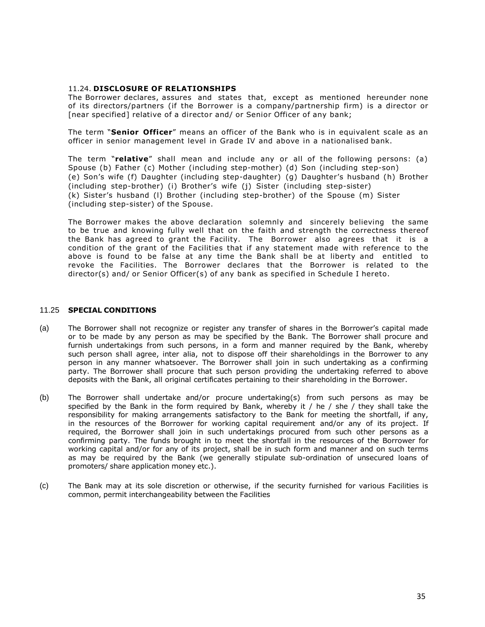## 11.24. **DISCLOSURE OF RELATIONSHIPS**

The Borrower declares, assures and states that, except as mentioned hereunder none of its directors/partners (if the Borrower is a company/partnership firm) is a director or [near specified] relative of a director and/ or Senior Officer of any bank;

The term "**Senior Officer**" means an officer of the Bank who is in equivalent scale as an officer in senior management level in Grade IV and above in a nationalised bank.

The term "**relative**" shall mean and include any or all of the following persons: (a) Spouse (b) Father (c) Mother (including step-mother) (d) Son (including step-son) (e) Son's wife (f) Daughter (including step-daughter) (g) Daughter's husband (h) Brother (including step-brother) (i) Brother's wife (j) Sister (including step-sister) (k) Sister's husband (l) Brother (including step-brother) of the Spouse (m) Sister (including step-sister) of the Spouse.

The Borrower makes the above declaration solemnly and sincerely believing the same to be true and knowing fully well that on the faith and strength the correctness thereof the Bank has agreed to grant the Facility. The Borrower also agrees that it is a condition of the grant of the Facilities that if any statement made with reference to the above is found to be false at any time the Bank shall be at liberty and entitled to revoke the Facilities. The Borrower declares that the Borrower is related to the director(s) and/ or Senior Officer(s) of any bank as specified in Schedule I hereto.

## 11.25 **SPECIAL CONDITIONS**

- (a) The Borrower shall not recognize or register any transfer of shares in the Borrower's capital made or to be made by any person as may be specified by the Bank. The Borrower shall procure and furnish undertakings from such persons, in a form and manner required by the Bank, whereby such person shall agree, inter alia, not to dispose off their shareholdings in the Borrower to any person in any manner whatsoever. The Borrower shall join in such undertaking as a confirming party. The Borrower shall procure that such person providing the undertaking referred to above deposits with the Bank, all original certificates pertaining to their shareholding in the Borrower.
- (b) The Borrower shall undertake and/or procure undertaking(s) from such persons as may be specified by the Bank in the form required by Bank, whereby it / he / she / they shall take the responsibility for making arrangements satisfactory to the Bank for meeting the shortfall, if any, in the resources of the Borrower for working capital requirement and/or any of its project. If required, the Borrower shall join in such undertakings procured from such other persons as a confirming party. The funds brought in to meet the shortfall in the resources of the Borrower for working capital and/or for any of its project, shall be in such form and manner and on such terms as may be required by the Bank (we generally stipulate sub-ordination of unsecured loans of promoters/ share application money etc.).
- (c) The Bank may at its sole discretion or otherwise, if the security furnished for various Facilities is common, permit interchangeability between the Facilities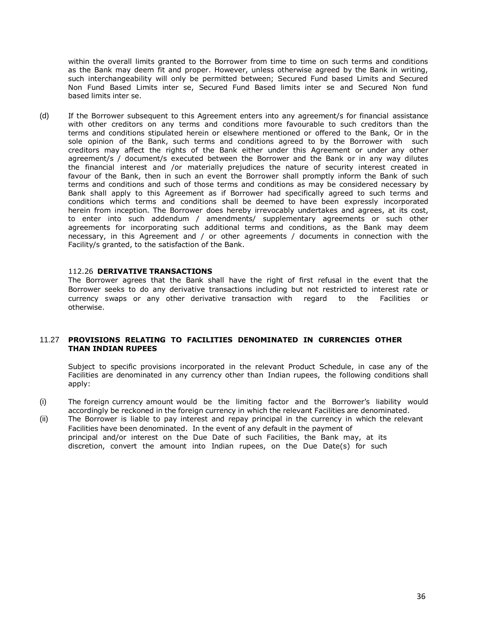within the overall limits granted to the Borrower from time to time on such terms and conditions as the Bank may deem fit and proper. However, unless otherwise agreed by the Bank in writing, such interchangeability will only be permitted between; Secured Fund based Limits and Secured Non Fund Based Limits inter se, Secured Fund Based limits inter se and Secured Non fund based limits inter se.

(d) If the Borrower subsequent to this Agreement enters into any agreement/s for financial assistance with other creditors on any terms and conditions more favourable to such creditors than the terms and conditions stipulated herein or elsewhere mentioned or offered to the Bank, Or in the sole opinion of the Bank, such terms and conditions agreed to by the Borrower with such creditors may affect the rights of the Bank either under this Agreement or under any other agreement/s / document/s executed between the Borrower and the Bank or in any way dilutes the financial interest and /or materially prejudices the nature of security interest created in favour of the Bank, then in such an event the Borrower shall promptly inform the Bank of such terms and conditions and such of those terms and conditions as may be considered necessary by Bank shall apply to this Agreement as if Borrower had specifically agreed to such terms and conditions which terms and conditions shall be deemed to have been expressly incorporated herein from inception. The Borrower does hereby irrevocably undertakes and agrees, at its cost, to enter into such addendum / amendments/ supplementary agreements or such other agreements for incorporating such additional terms and conditions, as the Bank may deem necessary, in this Agreement and / or other agreements / documents in connection with the Facility/s granted, to the satisfaction of the Bank.

## 112.26 **DERIVATIVE TRANSACTIONS**

The Borrower agrees that the Bank shall have the right of first refusal in the event that the Borrower seeks to do any derivative transactions including but not restricted to interest rate or currency swaps or any other derivative transaction with regard to the Facilities or otherwise.

## 11.27 **PROVISIONS RELATING TO FACILITIES DENOMINATED IN CURRENCIES OTHER THAN INDIAN RUPEES**

Subject to specific provisions incorporated in the relevant Product Schedule, in case any of the Facilities are denominated in any currency other than Indian rupees, the following conditions shall apply:

- (i) The foreign currency amount would be the limiting factor and the Borrower's liability would accordingly be reckoned in the foreign currency in which the relevant Facilities are denominated.
- (ii) The Borrower is liable to pay interest and repay principal in the currency in which the relevant Facilities have been denominated. In the event of any default in the payment of principal and/or interest on the Due Date of such Facilities, the Bank may, at its discretion, convert the amount into Indian rupees, on the Due Date(s) for such